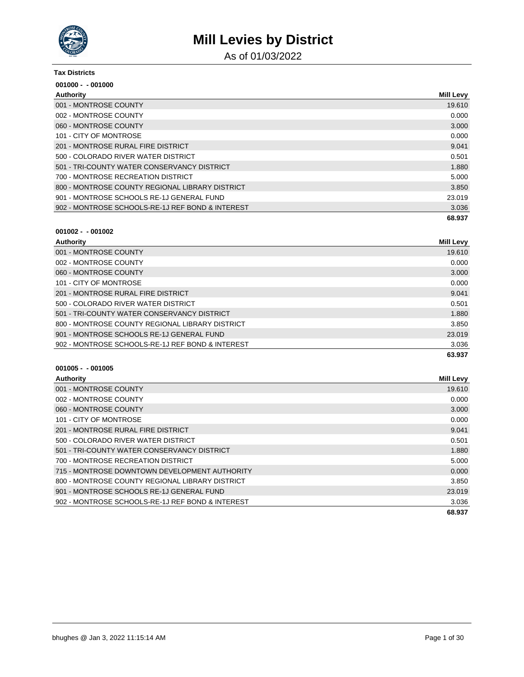

As of 01/03/2022

#### **Tax Districts**

| $001000 - 001000$                                |                  |
|--------------------------------------------------|------------------|
| Authority                                        | <b>Mill Levy</b> |
| 001 - MONTROSE COUNTY                            | 19.610           |
| 002 - MONTROSE COUNTY                            | 0.000            |
| 060 - MONTROSE COUNTY                            | 3.000            |
| 101 - CITY OF MONTROSE                           | 0.000            |
| 201 - MONTROSE RURAL FIRE DISTRICT               | 9.041            |
| 500 - COLORADO RIVER WATER DISTRICT              | 0.501            |
| 501 - TRI-COUNTY WATER CONSERVANCY DISTRICT      | 1.880            |
| 700 - MONTROSE RECREATION DISTRICT               | 5.000            |
| 800 - MONTROSE COUNTY REGIONAL LIBRARY DISTRICT  | 3.850            |
| 901 - MONTROSE SCHOOLS RE-1J GENERAL FUND        | 23.019           |
| 902 - MONTROSE SCHOOLS-RE-1J REF BOND & INTEREST | 3.036            |
|                                                  | 68.937           |

### **001002 - - 001002**

| <b>Authority</b>                                 | <b>Mill Levy</b> |
|--------------------------------------------------|------------------|
| 001 - MONTROSE COUNTY                            | 19.610           |
| 002 - MONTROSE COUNTY                            | 0.000            |
| 060 - MONTROSE COUNTY                            | 3.000            |
| 101 - CITY OF MONTROSE                           | 0.000            |
| 201 - MONTROSE RURAL FIRE DISTRICT               | 9.041            |
| 500 - COLORADO RIVER WATER DISTRICT              | 0.501            |
| 501 - TRI-COUNTY WATER CONSERVANCY DISTRICT      | 1.880            |
| 800 - MONTROSE COUNTY REGIONAL LIBRARY DISTRICT  | 3.850            |
| 901 - MONTROSE SCHOOLS RE-1J GENERAL FUND        | 23.019           |
| 902 - MONTROSE SCHOOLS-RE-1J REF BOND & INTEREST | 3.036            |
|                                                  | 63.937           |

| Authority                                        | <b>Mill Levy</b> |
|--------------------------------------------------|------------------|
| 001 - MONTROSE COUNTY                            | 19.610           |
| 002 - MONTROSE COUNTY                            | 0.000            |
| 060 - MONTROSE COUNTY                            | 3.000            |
| 101 - CITY OF MONTROSE                           | 0.000            |
| 201 - MONTROSE RURAL FIRE DISTRICT               | 9.041            |
| 500 - COLORADO RIVER WATER DISTRICT              | 0.501            |
| 501 - TRI-COUNTY WATER CONSERVANCY DISTRICT      | 1.880            |
| 700 - MONTROSE RECREATION DISTRICT               | 5.000            |
| 715 - MONTROSE DOWNTOWN DEVELOPMENT AUTHORITY    | 0.000            |
| 800 - MONTROSE COUNTY REGIONAL LIBRARY DISTRICT  | 3.850            |
| 901 - MONTROSE SCHOOLS RE-1J GENERAL FUND        | 23.019           |
| 902 - MONTROSE SCHOOLS-RE-1J REF BOND & INTEREST | 3.036            |
|                                                  | 68.937           |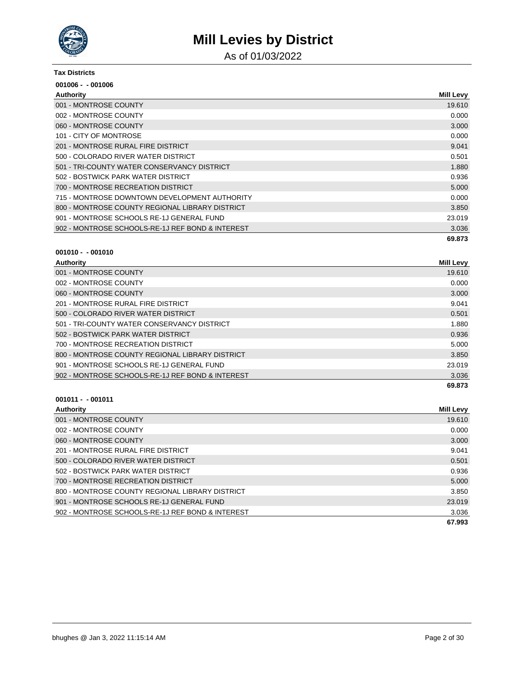

As of 01/03/2022

#### **Tax Districts**

| $001006 - 001006$                                |                  |
|--------------------------------------------------|------------------|
| Authority                                        | <b>Mill Levy</b> |
| 001 - MONTROSE COUNTY                            | 19.610           |
| 002 - MONTROSE COUNTY                            | 0.000            |
| 060 - MONTROSE COUNTY                            | 3.000            |
| 101 - CITY OF MONTROSE                           | 0.000            |
| 201 - MONTROSE RURAL FIRE DISTRICT               | 9.041            |
| 500 - COLORADO RIVER WATER DISTRICT              | 0.501            |
| 501 - TRI-COUNTY WATER CONSERVANCY DISTRICT      | 1.880            |
| 502 - BOSTWICK PARK WATER DISTRICT               | 0.936            |
| 700 - MONTROSE RECREATION DISTRICT               | 5.000            |
| 715 - MONTROSE DOWNTOWN DEVELOPMENT AUTHORITY    | 0.000            |
| 800 - MONTROSE COUNTY REGIONAL LIBRARY DISTRICT  | 3.850            |
| 901 - MONTROSE SCHOOLS RE-1J GENERAL FUND        | 23.019           |
| 902 - MONTROSE SCHOOLS-RE-1J REF BOND & INTEREST | 3.036            |
|                                                  | 69.873           |

### **001010 - - 001010**

| Authority                                        | <b>Mill Levy</b> |
|--------------------------------------------------|------------------|
| 001 - MONTROSE COUNTY                            | 19.610           |
| 002 - MONTROSE COUNTY                            | 0.000            |
| 060 - MONTROSE COUNTY                            | 3.000            |
| 201 - MONTROSE RURAL FIRE DISTRICT               | 9.041            |
| 500 - COLORADO RIVER WATER DISTRICT              | 0.501            |
| 501 - TRI-COUNTY WATER CONSERVANCY DISTRICT      | 1.880            |
| 502 - BOSTWICK PARK WATER DISTRICT               | 0.936            |
| 700 - MONTROSE RECREATION DISTRICT               | 5.000            |
| 800 - MONTROSE COUNTY REGIONAL LIBRARY DISTRICT  | 3.850            |
| 901 - MONTROSE SCHOOLS RE-1J GENERAL FUND        | 23.019           |
| 902 - MONTROSE SCHOOLS-RE-1J REF BOND & INTEREST | 3.036            |
|                                                  | 69.873           |

| <b>Authority</b>                                 | Mill Levy |
|--------------------------------------------------|-----------|
| 001 - MONTROSE COUNTY                            | 19.610    |
| 002 - MONTROSE COUNTY                            | 0.000     |
| 060 - MONTROSE COUNTY                            | 3.000     |
| 201 - MONTROSE RURAL FIRE DISTRICT               | 9.041     |
| 500 - COLORADO RIVER WATER DISTRICT              | 0.501     |
| 502 - BOSTWICK PARK WATER DISTRICT               | 0.936     |
| 700 - MONTROSE RECREATION DISTRICT               | 5.000     |
| 800 - MONTROSE COUNTY REGIONAL LIBRARY DISTRICT  | 3.850     |
| 901 - MONTROSE SCHOOLS RE-1J GENERAL FUND        | 23.019    |
| 902 - MONTROSE SCHOOLS-RE-1J REF BOND & INTEREST | 3.036     |
|                                                  | 67.993    |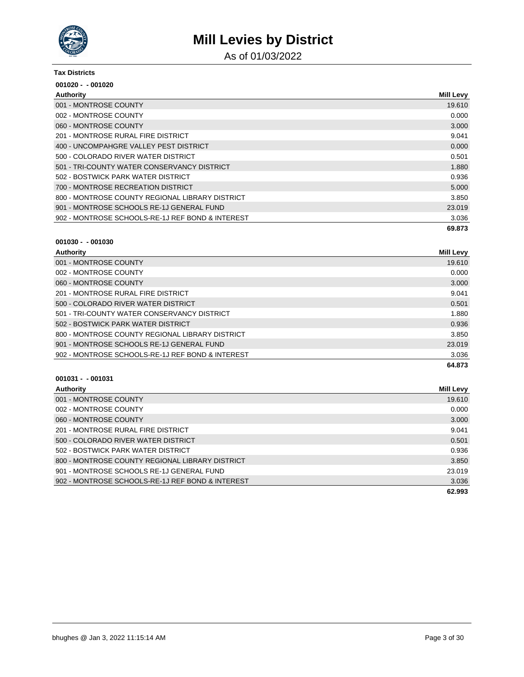

As of 01/03/2022

#### **Tax Districts**

| $001020 - 001020$                                |                  |
|--------------------------------------------------|------------------|
| <b>Authority</b>                                 | <b>Mill Levy</b> |
| 001 - MONTROSE COUNTY                            | 19.610           |
| 002 - MONTROSE COUNTY                            | 0.000            |
| 060 - MONTROSE COUNTY                            | 3.000            |
| 201 - MONTROSE RURAL FIRE DISTRICT               | 9.041            |
| 400 - UNCOMPAHGRE VALLEY PEST DISTRICT           | 0.000            |
| 500 - COLORADO RIVER WATER DISTRICT              | 0.501            |
| 501 - TRI-COUNTY WATER CONSERVANCY DISTRICT      | 1.880            |
| 502 - BOSTWICK PARK WATER DISTRICT               | 0.936            |
| 700 - MONTROSE RECREATION DISTRICT               | 5.000            |
| 800 - MONTROSE COUNTY REGIONAL LIBRARY DISTRICT  | 3.850            |
| 901 - MONTROSE SCHOOLS RE-1J GENERAL FUND        | 23.019           |
| 902 - MONTROSE SCHOOLS-RE-1J REF BOND & INTEREST | 3.036            |
|                                                  | 69.873           |

#### **001030 - - 001030**

| <b>Authority</b>                                 | Mill Levy |
|--------------------------------------------------|-----------|
| 001 - MONTROSE COUNTY                            | 19.610    |
| 002 - MONTROSE COUNTY                            | 0.000     |
| 060 - MONTROSE COUNTY                            | 3.000     |
| 201 - MONTROSE RURAL FIRE DISTRICT               | 9.041     |
| 500 - COLORADO RIVER WATER DISTRICT              | 0.501     |
| 501 - TRI-COUNTY WATER CONSERVANCY DISTRICT      | 1.880     |
| 502 - BOSTWICK PARK WATER DISTRICT               | 0.936     |
| 800 - MONTROSE COUNTY REGIONAL LIBRARY DISTRICT  | 3.850     |
| 901 - MONTROSE SCHOOLS RE-1J GENERAL FUND        | 23.019    |
| 902 - MONTROSE SCHOOLS-RE-1J REF BOND & INTEREST | 3.036     |
|                                                  | 64.873    |

| Authority                                        | Mill Levy |
|--------------------------------------------------|-----------|
| 001 - MONTROSE COUNTY                            | 19.610    |
| 002 - MONTROSE COUNTY                            | 0.000     |
| 060 - MONTROSE COUNTY                            | 3.000     |
| 201 - MONTROSE RURAL FIRE DISTRICT               | 9.041     |
| 500 - COLORADO RIVER WATER DISTRICT              | 0.501     |
| 502 - BOSTWICK PARK WATER DISTRICT               | 0.936     |
| 800 - MONTROSE COUNTY REGIONAL LIBRARY DISTRICT  | 3.850     |
| 901 - MONTROSE SCHOOLS RE-1J GENERAL FUND        | 23.019    |
| 902 - MONTROSE SCHOOLS-RE-1J REF BOND & INTEREST | 3.036     |
|                                                  | 62.993    |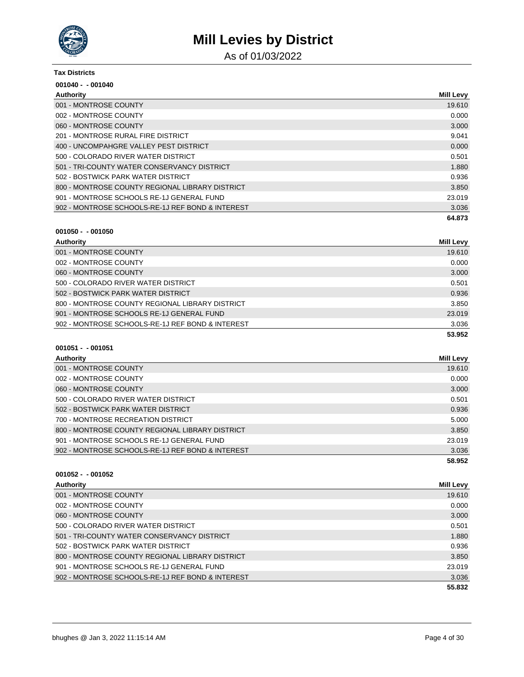

As of 01/03/2022

#### **Tax Districts**

| $001040 - 001040$                                |                  |
|--------------------------------------------------|------------------|
| Authority                                        | <b>Mill Levy</b> |
| 001 - MONTROSE COUNTY                            | 19.610           |
| 002 - MONTROSE COUNTY                            | 0.000            |
| 060 - MONTROSE COUNTY                            | 3.000            |
| 201 - MONTROSE RURAL FIRE DISTRICT               | 9.041            |
| 400 - UNCOMPAHGRE VALLEY PEST DISTRICT           | 0.000            |
| 500 - COLORADO RIVER WATER DISTRICT              | 0.501            |
| 501 - TRI-COUNTY WATER CONSERVANCY DISTRICT      | 1.880            |
| 502 - BOSTWICK PARK WATER DISTRICT               | 0.936            |
| 800 - MONTROSE COUNTY REGIONAL LIBRARY DISTRICT  | 3.850            |
| 901 - MONTROSE SCHOOLS RE-1J GENERAL FUND        | 23.019           |
| 902 - MONTROSE SCHOOLS-RE-1J REF BOND & INTEREST | 3.036            |
|                                                  | 64.873           |

### **001050 - - 001050**

| Authority                                        | Mill Levy |
|--------------------------------------------------|-----------|
| 001 - MONTROSE COUNTY                            | 19.610    |
| 002 - MONTROSE COUNTY                            | 0.000     |
| 060 - MONTROSE COUNTY                            | 3.000     |
| 500 - COLORADO RIVER WATER DISTRICT              | 0.501     |
| 502 - BOSTWICK PARK WATER DISTRICT               | 0.936     |
| 800 - MONTROSE COUNTY REGIONAL LIBRARY DISTRICT  | 3.850     |
| 901 - MONTROSE SCHOOLS RE-1J GENERAL FUND        | 23.019    |
| 902 - MONTROSE SCHOOLS-RE-1J REF BOND & INTEREST | 3.036     |
|                                                  | 53.952    |

### **001051 - - 001051**

| Authority                                        | Mill Levy |
|--------------------------------------------------|-----------|
| 001 - MONTROSE COUNTY                            | 19.610    |
| 002 - MONTROSE COUNTY                            | 0.000     |
| 060 - MONTROSE COUNTY                            | 3.000     |
| 500 - COLORADO RIVER WATER DISTRICT              | 0.501     |
| 502 - BOSTWICK PARK WATER DISTRICT               | 0.936     |
| 700 - MONTROSE RECREATION DISTRICT               | 5.000     |
| 800 - MONTROSE COUNTY REGIONAL LIBRARY DISTRICT  | 3.850     |
| 901 - MONTROSE SCHOOLS RE-1J GENERAL FUND        | 23.019    |
| 902 - MONTROSE SCHOOLS-RE-1J REF BOND & INTEREST | 3.036     |
|                                                  | 58.952    |

| Authority                                        | Mill Levy |
|--------------------------------------------------|-----------|
| 001 - MONTROSE COUNTY                            | 19.610    |
| 002 - MONTROSE COUNTY                            | 0.000     |
| 060 - MONTROSE COUNTY                            | 3.000     |
| 500 - COLORADO RIVER WATER DISTRICT              | 0.501     |
| 501 - TRI-COUNTY WATER CONSERVANCY DISTRICT      | 1.880     |
| 502 - BOSTWICK PARK WATER DISTRICT               | 0.936     |
| 800 - MONTROSE COUNTY REGIONAL LIBRARY DISTRICT  | 3.850     |
| 901 - MONTROSE SCHOOLS RE-1J GENERAL FUND        | 23.019    |
| 902 - MONTROSE SCHOOLS-RE-1J REF BOND & INTEREST | 3.036     |
|                                                  | 55.832    |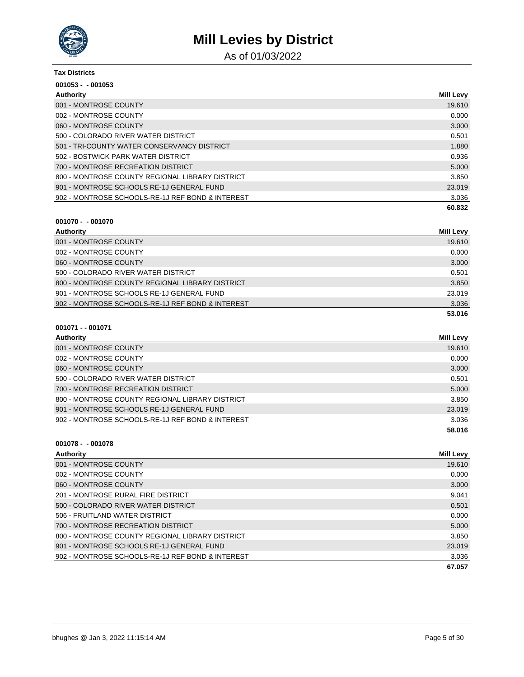

As of 01/03/2022

| Tax Districts<br>$001053 - 001053$               |        |
|--------------------------------------------------|--------|
|                                                  |        |
| 001 - MONTROSE COUNTY                            | 19.610 |
| 002 - MONTROSE COUNTY                            | 0.000  |
| 060 - MONTROSE COUNTY                            | 3.000  |
| 500 - COLORADO RIVER WATER DISTRICT              | 0.501  |
| 501 - TRI-COUNTY WATER CONSERVANCY DISTRICT      | 1.880  |
| 502 - BOSTWICK PARK WATER DISTRICT               | 0.936  |
| 700 - MONTROSE RECREATION DISTRICT               | 5.000  |
| 800 - MONTROSE COUNTY REGIONAL LIBRARY DISTRICT  | 3.850  |
| 901 - MONTROSE SCHOOLS RE-1J GENERAL FUND        | 23.019 |
| 902 - MONTROSE SCHOOLS-RE-1J REF BOND & INTEREST | 3.036  |
|                                                  | 60.832 |

### **001070 - - 001070**

| Authority                                        | <b>Mill Levy</b> |
|--------------------------------------------------|------------------|
| 001 - MONTROSE COUNTY                            | 19.610           |
| 002 - MONTROSE COUNTY                            | 0.000            |
| 060 - MONTROSE COUNTY                            | 3.000            |
| 500 - COLORADO RIVER WATER DISTRICT              | 0.501            |
| 800 - MONTROSE COUNTY REGIONAL LIBRARY DISTRICT  | 3.850            |
| 901 - MONTROSE SCHOOLS RE-1J GENERAL FUND        | 23.019           |
| 902 - MONTROSE SCHOOLS-RE-1J REF BOND & INTEREST | 3.036            |
|                                                  | 53.016           |

### **001071 - - 001071**

| Authority                                        | Mill Levy |
|--------------------------------------------------|-----------|
| 001 - MONTROSE COUNTY                            | 19.610    |
| 002 - MONTROSE COUNTY                            | 0.000     |
| 060 - MONTROSE COUNTY                            | 3.000     |
| 500 - COLORADO RIVER WATER DISTRICT              | 0.501     |
| 700 - MONTROSE RECREATION DISTRICT               | 5.000     |
| 800 - MONTROSE COUNTY REGIONAL LIBRARY DISTRICT  | 3.850     |
| 901 - MONTROSE SCHOOLS RE-1J GENERAL FUND        | 23.019    |
| 902 - MONTROSE SCHOOLS-RE-1J REF BOND & INTEREST | 3.036     |
|                                                  | 58.016    |
|                                                  |           |

| <b>Authority</b>                                 | Mill Levy |
|--------------------------------------------------|-----------|
| 001 - MONTROSE COUNTY                            | 19.610    |
| 002 - MONTROSE COUNTY                            | 0.000     |
| 060 - MONTROSE COUNTY                            | 3.000     |
| 201 - MONTROSE RURAL FIRE DISTRICT               | 9.041     |
| 500 - COLORADO RIVER WATER DISTRICT              | 0.501     |
| 506 - FRUITLAND WATER DISTRICT                   | 0.000     |
| 700 - MONTROSE RECREATION DISTRICT               | 5.000     |
| 800 - MONTROSE COUNTY REGIONAL LIBRARY DISTRICT  | 3.850     |
| 901 - MONTROSE SCHOOLS RE-1J GENERAL FUND        | 23,019    |
| 902 - MONTROSE SCHOOLS-RE-1J REF BOND & INTEREST | 3.036     |
|                                                  | 67.057    |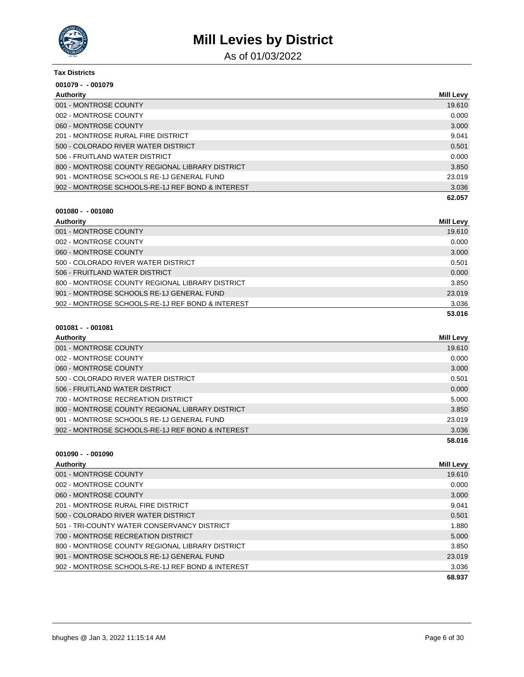

As of 01/03/2022

| <b>Tax Districts</b>                             |                  |
|--------------------------------------------------|------------------|
| $001079 - 001079$                                |                  |
| Authority                                        | <b>Mill Levy</b> |
| 001 - MONTROSE COUNTY                            | 19.610           |
| 002 - MONTROSE COUNTY                            | 0.000            |
| 060 - MONTROSE COUNTY                            | 3.000            |
| 201 - MONTROSE RURAL FIRE DISTRICT               | 9.041            |
| 500 - COLORADO RIVER WATER DISTRICT              | 0.501            |
| 506 - FRUITLAND WATER DISTRICT                   | 0.000            |
| 800 - MONTROSE COUNTY REGIONAL LIBRARY DISTRICT  | 3.850            |
| 901 - MONTROSE SCHOOLS RE-1J GENERAL FUND        | 23.019           |
| 902 - MONTROSE SCHOOLS-RE-1J REF BOND & INTEREST | 3.036            |
|                                                  | 62.057           |

### **001080 - - 001080**

| Authority                                        | Mill Levy |
|--------------------------------------------------|-----------|
| 001 - MONTROSE COUNTY                            | 19.610    |
| 002 - MONTROSE COUNTY                            | 0.000     |
| 060 - MONTROSE COUNTY                            | 3.000     |
| 500 - COLORADO RIVER WATER DISTRICT              | 0.501     |
| 506 - FRUITLAND WATER DISTRICT                   | 0.000     |
| 800 - MONTROSE COUNTY REGIONAL LIBRARY DISTRICT  | 3.850     |
| 901 - MONTROSE SCHOOLS RE-1J GENERAL FUND        | 23.019    |
| 902 - MONTROSE SCHOOLS-RE-1J REF BOND & INTEREST | 3.036     |
|                                                  | 53.016    |

#### **001081 - - 001081**

| <b>Authority</b>                                 | Mill Levy |
|--------------------------------------------------|-----------|
| 001 - MONTROSE COUNTY                            | 19.610    |
| 002 - MONTROSE COUNTY                            | 0.000     |
| 060 - MONTROSE COUNTY                            | 3.000     |
| 500 - COLORADO RIVER WATER DISTRICT              | 0.501     |
| 506 - FRUITLAND WATER DISTRICT                   | 0.000     |
| 700 - MONTROSE RECREATION DISTRICT               | 5.000     |
| 800 - MONTROSE COUNTY REGIONAL LIBRARY DISTRICT  | 3.850     |
| 901 - MONTROSE SCHOOLS RE-1J GENERAL FUND        | 23.019    |
| 902 - MONTROSE SCHOOLS-RE-1J REF BOND & INTEREST | 3.036     |
|                                                  | 58.016    |

### **001090 - - 001090**

| <b>Authority</b>                                 | <b>Mill Levy</b> |
|--------------------------------------------------|------------------|
| 001 - MONTROSE COUNTY                            | 19.610           |
| 002 - MONTROSE COUNTY                            | 0.000            |
| 060 - MONTROSE COUNTY                            | 3.000            |
| 201 - MONTROSE RURAL FIRE DISTRICT               | 9.041            |
| 500 - COLORADO RIVER WATER DISTRICT              | 0.501            |
| 501 - TRI-COUNTY WATER CONSERVANCY DISTRICT      | 1.880            |
| 700 - MONTROSE RECREATION DISTRICT               | 5.000            |
| 800 - MONTROSE COUNTY REGIONAL LIBRARY DISTRICT  | 3.850            |
| 901 - MONTROSE SCHOOLS RE-1J GENERAL FUND        | 23.019           |
| 902 - MONTROSE SCHOOLS-RE-1J REF BOND & INTEREST | 3.036            |
|                                                  | 68.937           |

**62.057**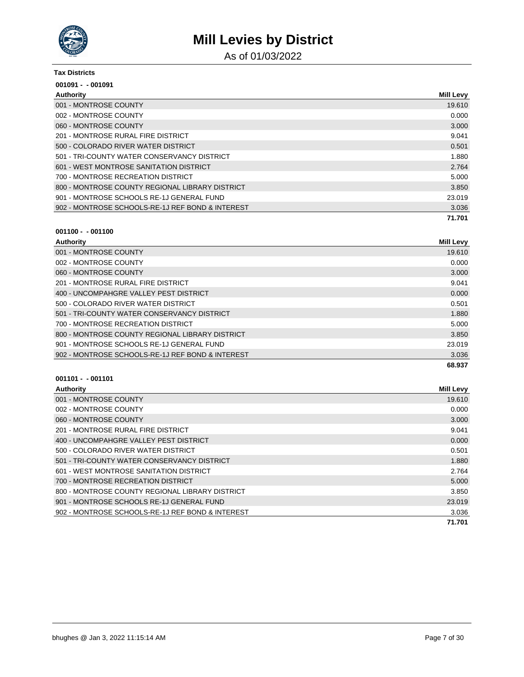

As of 01/03/2022

#### **Tax Districts**

| $001091 - 001091$                                |                  |
|--------------------------------------------------|------------------|
| Authority                                        | <b>Mill Levy</b> |
| 001 - MONTROSE COUNTY                            | 19.610           |
| 002 - MONTROSE COUNTY                            | 0.000            |
| 060 - MONTROSE COUNTY                            | 3.000            |
| 201 - MONTROSE RURAL FIRE DISTRICT               | 9.041            |
| 500 - COLORADO RIVER WATER DISTRICT              | 0.501            |
| 501 - TRI-COUNTY WATER CONSERVANCY DISTRICT      | 1.880            |
| 601 - WEST MONTROSE SANITATION DISTRICT          | 2.764            |
| 700 - MONTROSE RECREATION DISTRICT               | 5.000            |
| 800 - MONTROSE COUNTY REGIONAL LIBRARY DISTRICT  | 3.850            |
| 901 - MONTROSE SCHOOLS RE-1J GENERAL FUND        | 23.019           |
| 902 - MONTROSE SCHOOLS-RE-1J REF BOND & INTEREST | 3.036            |
|                                                  | 71.701           |

### **001100 - - 001100**

| Authority                                        | <b>Mill Levy</b> |
|--------------------------------------------------|------------------|
| 001 - MONTROSE COUNTY                            | 19.610           |
| 002 - MONTROSE COUNTY                            | 0.000            |
| 060 - MONTROSE COUNTY                            | 3.000            |
| 201 - MONTROSE RURAL FIRE DISTRICT               | 9.041            |
| 400 - UNCOMPAHGRE VALLEY PEST DISTRICT           | 0.000            |
| 500 - COLORADO RIVER WATER DISTRICT              | 0.501            |
| 501 - TRI-COUNTY WATER CONSERVANCY DISTRICT      | 1.880            |
| 700 - MONTROSE RECREATION DISTRICT               | 5.000            |
| 800 - MONTROSE COUNTY REGIONAL LIBRARY DISTRICT  | 3.850            |
| 901 - MONTROSE SCHOOLS RE-1J GENERAL FUND        | 23.019           |
| 902 - MONTROSE SCHOOLS-RE-1J REF BOND & INTEREST | 3.036            |
|                                                  | 68.937           |

| Authority                                        | <b>Mill Levy</b> |
|--------------------------------------------------|------------------|
| 001 - MONTROSE COUNTY                            | 19.610           |
| 002 - MONTROSE COUNTY                            | 0.000            |
| 060 - MONTROSE COUNTY                            | 3.000            |
| 201 - MONTROSE RURAL FIRE DISTRICT               | 9.041            |
| 400 - UNCOMPAHGRE VALLEY PEST DISTRICT           | 0.000            |
| 500 - COLORADO RIVER WATER DISTRICT              | 0.501            |
| 501 - TRI-COUNTY WATER CONSERVANCY DISTRICT      | 1.880            |
| 601 - WEST MONTROSE SANITATION DISTRICT          | 2.764            |
| 700 - MONTROSE RECREATION DISTRICT               | 5.000            |
| 800 - MONTROSE COUNTY REGIONAL LIBRARY DISTRICT  | 3.850            |
| 901 - MONTROSE SCHOOLS RE-1J GENERAL FUND        | 23.019           |
| 902 - MONTROSE SCHOOLS-RE-1J REF BOND & INTEREST | 3.036            |
|                                                  | 71.701           |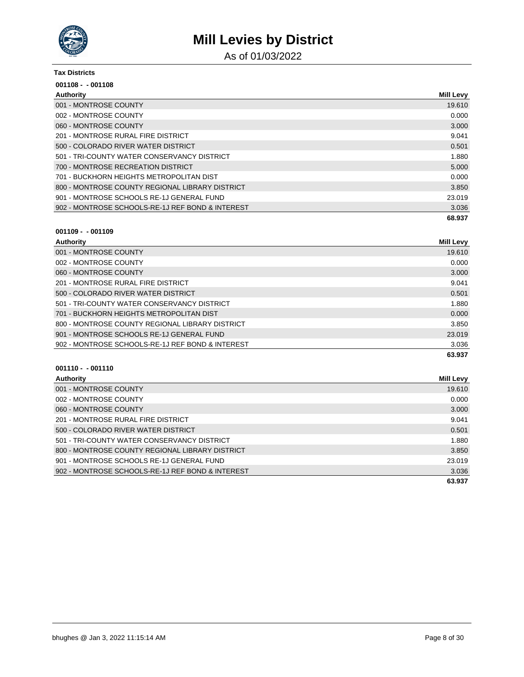

As of 01/03/2022

#### **Tax Districts**

| $001108 - 001108$                                |                  |
|--------------------------------------------------|------------------|
| Authority                                        | <b>Mill Levy</b> |
| 001 - MONTROSE COUNTY                            | 19.610           |
| 002 - MONTROSE COUNTY                            | 0.000            |
| 060 - MONTROSE COUNTY                            | 3.000            |
| 201 - MONTROSE RURAL FIRE DISTRICT               | 9.041            |
| 500 - COLORADO RIVER WATER DISTRICT              | 0.501            |
| 501 - TRI-COUNTY WATER CONSERVANCY DISTRICT      | 1.880            |
| 700 - MONTROSE RECREATION DISTRICT               | 5.000            |
| 701 - BUCKHORN HEIGHTS METROPOLITAN DIST         | 0.000            |
| 800 - MONTROSE COUNTY REGIONAL LIBRARY DISTRICT  | 3.850            |
| 901 - MONTROSE SCHOOLS RE-1J GENERAL FUND        | 23.019           |
| 902 - MONTROSE SCHOOLS-RE-1J REF BOND & INTEREST | 3.036            |
|                                                  | 68.937           |

### **001109 - - 001109**

| <b>Authority</b>                                 | <b>Mill Levy</b> |
|--------------------------------------------------|------------------|
| 001 - MONTROSE COUNTY                            | 19.610           |
| 002 - MONTROSE COUNTY                            | 0.000            |
| 060 - MONTROSE COUNTY                            | 3.000            |
| 201 - MONTROSE RURAL FIRE DISTRICT               | 9.041            |
| 500 - COLORADO RIVER WATER DISTRICT              | 0.501            |
| 501 - TRI-COUNTY WATER CONSERVANCY DISTRICT      | 1.880            |
| 701 - BUCKHORN HEIGHTS METROPOLITAN DIST         | 0.000            |
| 800 - MONTROSE COUNTY REGIONAL LIBRARY DISTRICT  | 3.850            |
| 901 - MONTROSE SCHOOLS RE-1J GENERAL FUND        | 23.019           |
| 902 - MONTROSE SCHOOLS-RE-1J REF BOND & INTEREST | 3.036            |
|                                                  | 63.937           |

| Authority                                        | Mill Levy |
|--------------------------------------------------|-----------|
| 001 - MONTROSE COUNTY                            | 19.610    |
| 002 - MONTROSE COUNTY                            | 0.000     |
| 060 - MONTROSE COUNTY                            | 3.000     |
| 201 - MONTROSE RURAL FIRE DISTRICT               | 9.041     |
| 500 - COLORADO RIVER WATER DISTRICT              | 0.501     |
| 501 - TRI-COUNTY WATER CONSERVANCY DISTRICT      | 1.880     |
| 800 - MONTROSE COUNTY REGIONAL LIBRARY DISTRICT  | 3.850     |
| 901 - MONTROSE SCHOOLS RE-1J GENERAL FUND        | 23.019    |
| 902 - MONTROSE SCHOOLS-RE-1J REF BOND & INTEREST | 3.036     |
|                                                  | 63.937    |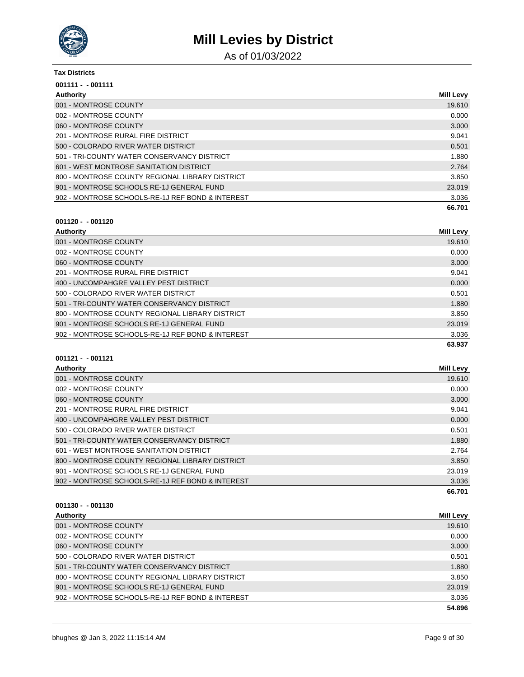

As of 01/03/2022

#### **Tax Districts**

| $001111 - 001111$                                |                  |
|--------------------------------------------------|------------------|
| Authority                                        | <b>Mill Levy</b> |
| 001 - MONTROSE COUNTY                            | 19.610           |
| 002 - MONTROSE COUNTY                            | 0.000            |
| 060 - MONTROSE COUNTY                            | 3.000            |
| 201 - MONTROSE RURAL FIRE DISTRICT               | 9.041            |
| 500 - COLORADO RIVER WATER DISTRICT              | 0.501            |
| 501 - TRI-COUNTY WATER CONSERVANCY DISTRICT      | 1.880            |
| 601 - WEST MONTROSE SANITATION DISTRICT          | 2.764            |
| 800 - MONTROSE COUNTY REGIONAL LIBRARY DISTRICT  | 3.850            |
| 901 - MONTROSE SCHOOLS RE-1J GENERAL FUND        | 23.019           |
| 902 - MONTROSE SCHOOLS-RE-1J REF BOND & INTEREST | 3.036            |
|                                                  | 66.701           |

### **001120 - - 001120**

| Authority                                        | Mill Levy |
|--------------------------------------------------|-----------|
| 001 - MONTROSE COUNTY                            | 19.610    |
| 002 - MONTROSE COUNTY                            | 0.000     |
| 060 - MONTROSE COUNTY                            | 3.000     |
| 201 - MONTROSE RURAL FIRE DISTRICT               | 9.041     |
| 400 - UNCOMPAHGRE VALLEY PEST DISTRICT           | 0.000     |
| 500 - COLORADO RIVER WATER DISTRICT              | 0.501     |
| 501 - TRI-COUNTY WATER CONSERVANCY DISTRICT      | 1.880     |
| 800 - MONTROSE COUNTY REGIONAL LIBRARY DISTRICT  | 3.850     |
| 901 - MONTROSE SCHOOLS RE-1J GENERAL FUND        | 23.019    |
| 902 - MONTROSE SCHOOLS-RE-1J REF BOND & INTEREST | 3.036     |
|                                                  | 63.937    |

### **001121 - - 001121**

| Authority                                        | <b>Mill Levy</b> |
|--------------------------------------------------|------------------|
| 001 - MONTROSE COUNTY                            | 19.610           |
| 002 - MONTROSE COUNTY                            | 0.000            |
| 060 - MONTROSE COUNTY                            | 3.000            |
| 201 - MONTROSE RURAL FIRE DISTRICT               | 9.041            |
| 400 - UNCOMPAHGRE VALLEY PEST DISTRICT           | 0.000            |
| 500 - COLORADO RIVER WATER DISTRICT              | 0.501            |
| 501 - TRI-COUNTY WATER CONSERVANCY DISTRICT      | 1.880            |
| 601 - WEST MONTROSE SANITATION DISTRICT          | 2.764            |
| 800 - MONTROSE COUNTY REGIONAL LIBRARY DISTRICT  | 3.850            |
| 901 - MONTROSE SCHOOLS RE-1J GENERAL FUND        | 23.019           |
| 902 - MONTROSE SCHOOLS-RE-1J REF BOND & INTEREST | 3.036            |
|                                                  | 66.701           |

| Authority                                        | Mill Levy |
|--------------------------------------------------|-----------|
| 001 - MONTROSE COUNTY                            | 19.610    |
| 002 - MONTROSE COUNTY                            | 0.000     |
| 060 - MONTROSE COUNTY                            | 3.000     |
| 500 - COLORADO RIVER WATER DISTRICT              | 0.501     |
| 501 - TRI-COUNTY WATER CONSERVANCY DISTRICT      | 1.880     |
| 800 - MONTROSE COUNTY REGIONAL LIBRARY DISTRICT  | 3.850     |
| 901 - MONTROSE SCHOOLS RE-1J GENERAL FUND        | 23.019    |
| 902 - MONTROSE SCHOOLS-RE-1J REF BOND & INTEREST | 3.036     |
|                                                  | 54.896    |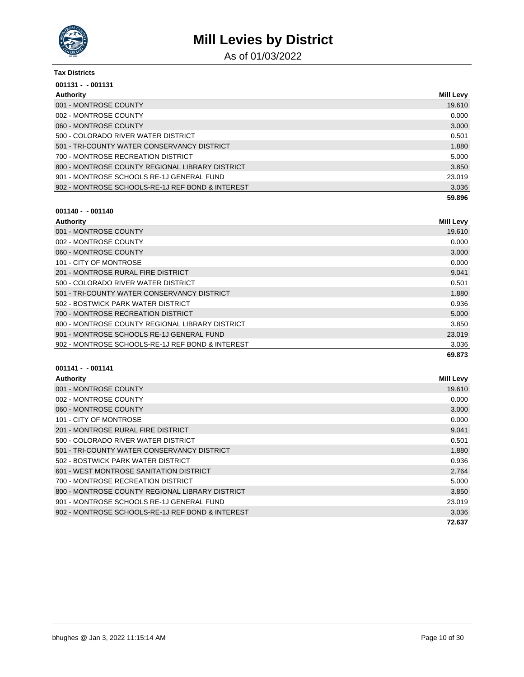

As of 01/03/2022

#### **Tax Districts**

| $001131 - 001131$                                |                  |
|--------------------------------------------------|------------------|
| Authority                                        | <b>Mill Levy</b> |
| 001 - MONTROSE COUNTY                            | 19.610           |
| 002 - MONTROSE COUNTY                            | 0.000            |
| 060 - MONTROSE COUNTY                            | 3.000            |
| 500 - COLORADO RIVER WATER DISTRICT              | 0.501            |
| 501 - TRI-COUNTY WATER CONSERVANCY DISTRICT      | 1.880            |
| 700 - MONTROSE RECREATION DISTRICT               | 5.000            |
| 800 - MONTROSE COUNTY REGIONAL LIBRARY DISTRICT  | 3.850            |
| 901 - MONTROSE SCHOOLS RE-1J GENERAL FUND        | 23.019           |
| 902 - MONTROSE SCHOOLS-RE-1J REF BOND & INTEREST | 3.036            |
|                                                  | 59.896           |

# **001140 - - 001140**

| Authority                                        | <b>Mill Levy</b> |
|--------------------------------------------------|------------------|
| 001 - MONTROSE COUNTY                            | 19.610           |
| 002 - MONTROSE COUNTY                            | 0.000            |
| 060 - MONTROSE COUNTY                            | 3.000            |
| 101 - CITY OF MONTROSE                           | 0.000            |
| 201 - MONTROSE RURAL FIRE DISTRICT               | 9.041            |
| 500 - COLORADO RIVER WATER DISTRICT              | 0.501            |
| 501 - TRI-COUNTY WATER CONSERVANCY DISTRICT      | 1.880            |
| 502 - BOSTWICK PARK WATER DISTRICT               | 0.936            |
| 700 - MONTROSE RECREATION DISTRICT               | 5.000            |
| 800 - MONTROSE COUNTY REGIONAL LIBRARY DISTRICT  | 3.850            |
| 901 - MONTROSE SCHOOLS RE-1J GENERAL FUND        | 23.019           |
| 902 - MONTROSE SCHOOLS-RE-1J REF BOND & INTEREST | 3.036            |
|                                                  | 69.873           |

| Authority                                        | <b>Mill Levy</b> |
|--------------------------------------------------|------------------|
| 001 - MONTROSE COUNTY                            | 19.610           |
| 002 - MONTROSE COUNTY                            | 0.000            |
| 060 - MONTROSE COUNTY                            | 3.000            |
| 101 - CITY OF MONTROSE                           | 0.000            |
| 201 - MONTROSE RURAL FIRE DISTRICT               | 9.041            |
| 500 - COLORADO RIVER WATER DISTRICT              | 0.501            |
| 501 - TRI-COUNTY WATER CONSERVANCY DISTRICT      | 1.880            |
| 502 - BOSTWICK PARK WATER DISTRICT               | 0.936            |
| 601 - WEST MONTROSE SANITATION DISTRICT          | 2.764            |
| 700 - MONTROSE RECREATION DISTRICT               | 5.000            |
| 800 - MONTROSE COUNTY REGIONAL LIBRARY DISTRICT  | 3.850            |
| 901 - MONTROSE SCHOOLS RE-1J GENERAL FUND        | 23.019           |
| 902 - MONTROSE SCHOOLS-RE-1J REF BOND & INTEREST | 3.036            |
|                                                  | 72.637           |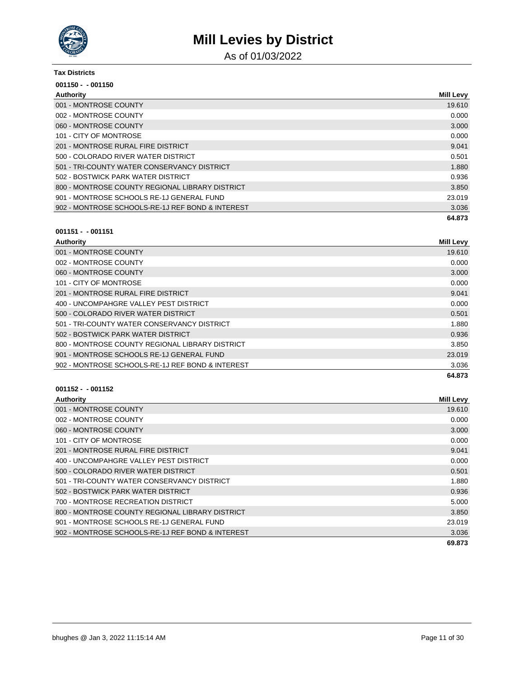

As of 01/03/2022

#### **Tax Districts**

| $001150 - 001150$                                |                  |
|--------------------------------------------------|------------------|
| Authority                                        | <b>Mill Levy</b> |
| 001 - MONTROSE COUNTY                            | 19.610           |
| 002 - MONTROSE COUNTY                            | 0.000            |
| 060 - MONTROSE COUNTY                            | 3.000            |
| 101 - CITY OF MONTROSE                           | 0.000            |
| 201 - MONTROSE RURAL FIRE DISTRICT               | 9.041            |
| 500 - COLORADO RIVER WATER DISTRICT              | 0.501            |
| 501 - TRI-COUNTY WATER CONSERVANCY DISTRICT      | 1.880            |
| 502 - BOSTWICK PARK WATER DISTRICT               | 0.936            |
| 800 - MONTROSE COUNTY REGIONAL LIBRARY DISTRICT  | 3.850            |
| 901 - MONTROSE SCHOOLS RE-1J GENERAL FUND        | 23.019           |
| 902 - MONTROSE SCHOOLS-RE-1J REF BOND & INTEREST | 3.036            |
|                                                  | 64.873           |

### **001151 - - 001151**

| Authority                                        | <b>Mill Levy</b> |
|--------------------------------------------------|------------------|
| 001 - MONTROSE COUNTY                            | 19.610           |
| 002 - MONTROSE COUNTY                            | 0.000            |
| 060 - MONTROSE COUNTY                            | 3.000            |
| 101 - CITY OF MONTROSE                           | 0.000            |
| 201 - MONTROSE RURAL FIRE DISTRICT               | 9.041            |
| 400 - UNCOMPAHGRE VALLEY PEST DISTRICT           | 0.000            |
| 500 - COLORADO RIVER WATER DISTRICT              | 0.501            |
| 501 - TRI-COUNTY WATER CONSERVANCY DISTRICT      | 1.880            |
| 502 - BOSTWICK PARK WATER DISTRICT               | 0.936            |
| 800 - MONTROSE COUNTY REGIONAL LIBRARY DISTRICT  | 3.850            |
| 901 - MONTROSE SCHOOLS RE-1J GENERAL FUND        | 23.019           |
| 902 - MONTROSE SCHOOLS-RE-1J REF BOND & INTEREST | 3.036            |
|                                                  | 64.873           |

| <b>Authority</b>                                 | <b>Mill Levy</b> |
|--------------------------------------------------|------------------|
| 001 - MONTROSE COUNTY                            | 19.610           |
| 002 - MONTROSE COUNTY                            | 0.000            |
| 060 - MONTROSE COUNTY                            | 3.000            |
| 101 - CITY OF MONTROSE                           | 0.000            |
| 201 - MONTROSE RURAL FIRE DISTRICT               | 9.041            |
| 400 - UNCOMPAHGRE VALLEY PEST DISTRICT           | 0.000            |
| 500 - COLORADO RIVER WATER DISTRICT              | 0.501            |
| 501 - TRI-COUNTY WATER CONSERVANCY DISTRICT      | 1.880            |
| 502 - BOSTWICK PARK WATER DISTRICT               | 0.936            |
| 700 - MONTROSE RECREATION DISTRICT               | 5.000            |
| 800 - MONTROSE COUNTY REGIONAL LIBRARY DISTRICT  | 3.850            |
| 901 - MONTROSE SCHOOLS RE-1J GENERAL FUND        | 23.019           |
| 902 - MONTROSE SCHOOLS-RE-1J REF BOND & INTEREST | 3.036            |
|                                                  | 69.873           |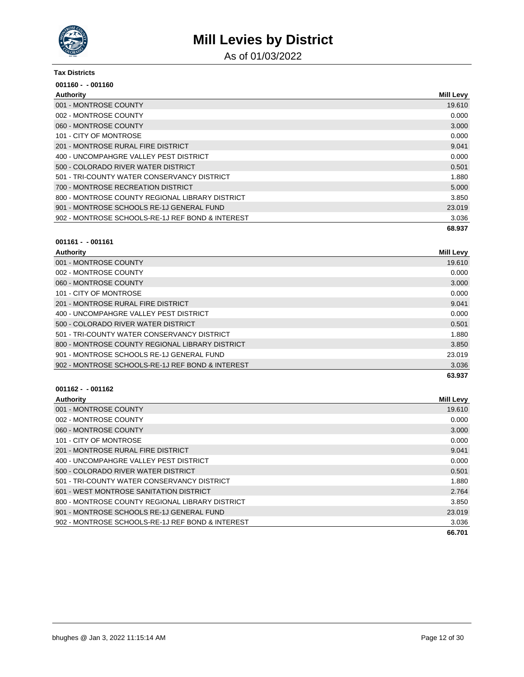

As of 01/03/2022

#### **Tax Districts**

| $001160 - 001160$                                |                  |
|--------------------------------------------------|------------------|
| Authority                                        | <b>Mill Levy</b> |
| 001 - MONTROSE COUNTY                            | 19.610           |
| 002 - MONTROSE COUNTY                            | 0.000            |
| 060 - MONTROSE COUNTY                            | 3.000            |
| 101 - CITY OF MONTROSE                           | 0.000            |
| 201 - MONTROSE RURAL FIRE DISTRICT               | 9.041            |
| 400 - UNCOMPAHGRE VALLEY PEST DISTRICT           | 0.000            |
| 500 - COLORADO RIVER WATER DISTRICT              | 0.501            |
| 501 - TRI-COUNTY WATER CONSERVANCY DISTRICT      | 1.880            |
| 700 - MONTROSE RECREATION DISTRICT               | 5.000            |
| 800 - MONTROSE COUNTY REGIONAL LIBRARY DISTRICT  | 3.850            |
| 901 - MONTROSE SCHOOLS RE-1J GENERAL FUND        | 23.019           |
| 902 - MONTROSE SCHOOLS-RE-1J REF BOND & INTEREST | 3.036            |
|                                                  | 68.937           |

#### **001161 - - 001161**

| <b>Authority</b>                                 | <b>Mill Levy</b> |
|--------------------------------------------------|------------------|
| 001 - MONTROSE COUNTY                            | 19.610           |
| 002 - MONTROSE COUNTY                            | 0.000            |
| 060 - MONTROSE COUNTY                            | 3.000            |
| 101 - CITY OF MONTROSE                           | 0.000            |
| 201 - MONTROSE RURAL FIRE DISTRICT               | 9.041            |
| 400 - UNCOMPAHGRE VALLEY PEST DISTRICT           | 0.000            |
| 500 - COLORADO RIVER WATER DISTRICT              | 0.501            |
| 501 - TRI-COUNTY WATER CONSERVANCY DISTRICT      | 1.880            |
| 800 - MONTROSE COUNTY REGIONAL LIBRARY DISTRICT  | 3.850            |
| 901 - MONTROSE SCHOOLS RE-1J GENERAL FUND        | 23.019           |
| 902 - MONTROSE SCHOOLS-RE-1J REF BOND & INTEREST | 3.036            |
|                                                  | 63.937           |

| Authority                                        | <b>Mill Levy</b> |
|--------------------------------------------------|------------------|
| 001 - MONTROSE COUNTY                            | 19.610           |
| 002 - MONTROSE COUNTY                            | 0.000            |
| 060 - MONTROSE COUNTY                            | 3.000            |
| 101 - CITY OF MONTROSE                           | 0.000            |
| 201 - MONTROSE RURAL FIRE DISTRICT               | 9.041            |
| 400 - UNCOMPAHGRE VALLEY PEST DISTRICT           | 0.000            |
| 500 - COLORADO RIVER WATER DISTRICT              | 0.501            |
| 501 - TRI-COUNTY WATER CONSERVANCY DISTRICT      | 1.880            |
| 601 - WEST MONTROSE SANITATION DISTRICT          | 2.764            |
| 800 - MONTROSE COUNTY REGIONAL LIBRARY DISTRICT  | 3.850            |
| 901 - MONTROSE SCHOOLS RE-1J GENERAL FUND        | 23.019           |
| 902 - MONTROSE SCHOOLS-RE-1J REF BOND & INTEREST | 3.036            |
|                                                  | 66.701           |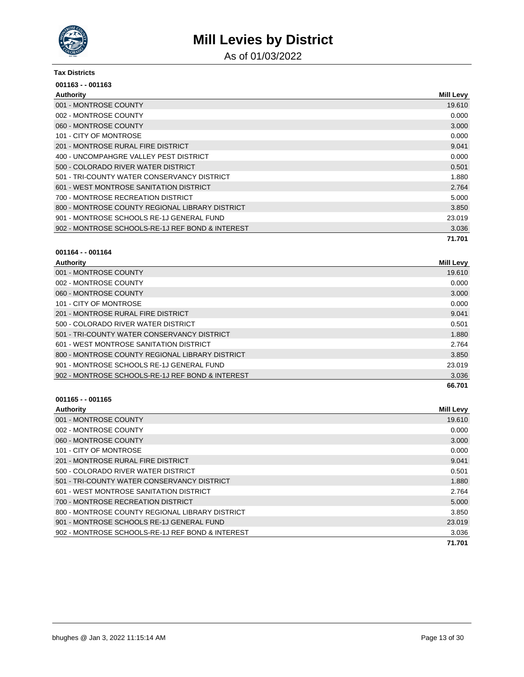

As of 01/03/2022

### **Tax Districts**

| $001163 - 001163$                                |                  |
|--------------------------------------------------|------------------|
| Authority                                        | <b>Mill Levy</b> |
| 001 - MONTROSE COUNTY                            | 19.610           |
| 002 - MONTROSE COUNTY                            | 0.000            |
| 060 - MONTROSE COUNTY                            | 3.000            |
| 101 - CITY OF MONTROSE                           | 0.000            |
| 201 - MONTROSE RURAL FIRE DISTRICT               | 9.041            |
| 400 - UNCOMPAHGRE VALLEY PEST DISTRICT           | 0.000            |
| 500 - COLORADO RIVER WATER DISTRICT              | 0.501            |
| 501 - TRI-COUNTY WATER CONSERVANCY DISTRICT      | 1.880            |
| 601 - WEST MONTROSE SANITATION DISTRICT          | 2.764            |
| 700 - MONTROSE RECREATION DISTRICT               | 5.000            |
| 800 - MONTROSE COUNTY REGIONAL LIBRARY DISTRICT  | 3.850            |
| 901 - MONTROSE SCHOOLS RE-1J GENERAL FUND        | 23.019           |
| 902 - MONTROSE SCHOOLS-RE-1J REF BOND & INTEREST | 3.036            |
|                                                  | 71.701           |

### **001164 - - 001164**

| Authority                                        | <b>Mill Levy</b> |
|--------------------------------------------------|------------------|
| 001 - MONTROSE COUNTY                            | 19.610           |
| 002 - MONTROSE COUNTY                            | 0.000            |
| 060 - MONTROSE COUNTY                            | 3.000            |
| 101 - CITY OF MONTROSE                           | 0.000            |
| 201 - MONTROSE RURAL FIRE DISTRICT               | 9.041            |
| 500 - COLORADO RIVER WATER DISTRICT              | 0.501            |
| 501 - TRI-COUNTY WATER CONSERVANCY DISTRICT      | 1.880            |
| 601 - WEST MONTROSE SANITATION DISTRICT          | 2.764            |
| 800 - MONTROSE COUNTY REGIONAL LIBRARY DISTRICT  | 3.850            |
| 901 - MONTROSE SCHOOLS RE-1J GENERAL FUND        | 23.019           |
| 902 - MONTROSE SCHOOLS-RE-1J REF BOND & INTEREST | 3.036            |
|                                                  | 66.701           |

| Authority                                        | <b>Mill Levy</b> |
|--------------------------------------------------|------------------|
| 001 - MONTROSE COUNTY                            | 19.610           |
| 002 - MONTROSE COUNTY                            | 0.000            |
| 060 - MONTROSE COUNTY                            | 3.000            |
| 101 - CITY OF MONTROSE                           | 0.000            |
| 201 - MONTROSE RURAL FIRE DISTRICT               | 9.041            |
| 500 - COLORADO RIVER WATER DISTRICT              | 0.501            |
| 501 - TRI-COUNTY WATER CONSERVANCY DISTRICT      | 1.880            |
| 601 - WEST MONTROSE SANITATION DISTRICT          | 2.764            |
| 700 - MONTROSE RECREATION DISTRICT               | 5.000            |
| 800 - MONTROSE COUNTY REGIONAL LIBRARY DISTRICT  | 3.850            |
| 901 - MONTROSE SCHOOLS RE-1J GENERAL FUND        | 23.019           |
| 902 - MONTROSE SCHOOLS-RE-1J REF BOND & INTEREST | 3.036            |
|                                                  | 71.701           |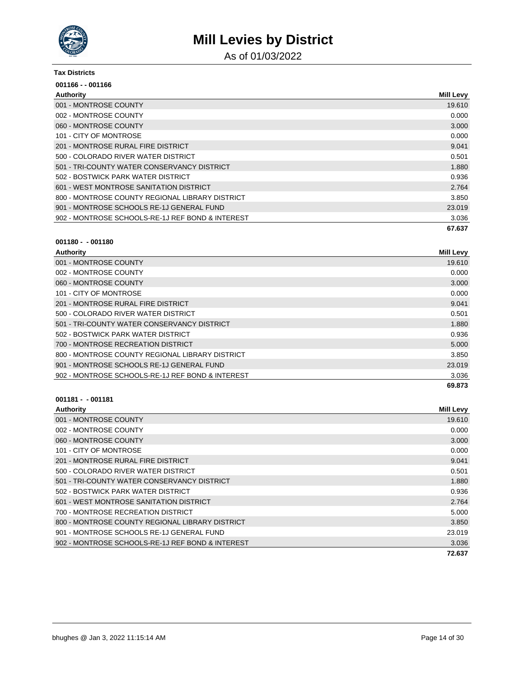

As of 01/03/2022

#### **Tax Districts**

| 001166 - - 001166                                |                  |
|--------------------------------------------------|------------------|
| Authority                                        | <b>Mill Levy</b> |
| 001 - MONTROSE COUNTY                            | 19.610           |
| 002 - MONTROSE COUNTY                            | 0.000            |
| 060 - MONTROSE COUNTY                            | 3.000            |
| 101 - CITY OF MONTROSE                           | 0.000            |
| 201 - MONTROSE RURAL FIRE DISTRICT               | 9.041            |
| 500 - COLORADO RIVER WATER DISTRICT              | 0.501            |
| 501 - TRI-COUNTY WATER CONSERVANCY DISTRICT      | 1.880            |
| 502 - BOSTWICK PARK WATER DISTRICT               | 0.936            |
| 601 - WEST MONTROSE SANITATION DISTRICT          | 2.764            |
| 800 - MONTROSE COUNTY REGIONAL LIBRARY DISTRICT  | 3.850            |
| 901 - MONTROSE SCHOOLS RE-1J GENERAL FUND        | 23.019           |
| 902 - MONTROSE SCHOOLS-RE-1J REF BOND & INTEREST | 3.036            |
|                                                  | 67.637           |

#### **001180 - - 001180**

| Authority                                        | <b>Mill Levy</b> |
|--------------------------------------------------|------------------|
| 001 - MONTROSE COUNTY                            | 19.610           |
| 002 - MONTROSE COUNTY                            | 0.000            |
| 060 - MONTROSE COUNTY                            | 3.000            |
| 101 - CITY OF MONTROSE                           | 0.000            |
| 201 - MONTROSE RURAL FIRE DISTRICT               | 9.041            |
| 500 - COLORADO RIVER WATER DISTRICT              | 0.501            |
| 501 - TRI-COUNTY WATER CONSERVANCY DISTRICT      | 1.880            |
| 502 - BOSTWICK PARK WATER DISTRICT               | 0.936            |
| 700 - MONTROSE RECREATION DISTRICT               | 5.000            |
| 800 - MONTROSE COUNTY REGIONAL LIBRARY DISTRICT  | 3.850            |
| 901 - MONTROSE SCHOOLS RE-1J GENERAL FUND        | 23.019           |
| 902 - MONTROSE SCHOOLS-RE-1J REF BOND & INTEREST | 3.036            |
|                                                  | 69.873           |

| Authority                                        | <b>Mill Levy</b> |
|--------------------------------------------------|------------------|
| 001 - MONTROSE COUNTY                            | 19.610           |
| 002 - MONTROSE COUNTY                            | 0.000            |
| 060 - MONTROSE COUNTY                            | 3.000            |
| 101 - CITY OF MONTROSE                           | 0.000            |
| 201 - MONTROSE RURAL FIRE DISTRICT               | 9.041            |
| 500 - COLORADO RIVER WATER DISTRICT              | 0.501            |
| 501 - TRI-COUNTY WATER CONSERVANCY DISTRICT      | 1.880            |
| 502 - BOSTWICK PARK WATER DISTRICT               | 0.936            |
| 601 - WEST MONTROSE SANITATION DISTRICT          | 2.764            |
| 700 - MONTROSE RECREATION DISTRICT               | 5.000            |
| 800 - MONTROSE COUNTY REGIONAL LIBRARY DISTRICT  | 3.850            |
| 901 - MONTROSE SCHOOLS RE-1J GENERAL FUND        | 23.019           |
| 902 - MONTROSE SCHOOLS-RE-1J REF BOND & INTEREST | 3.036            |
|                                                  | 72.637           |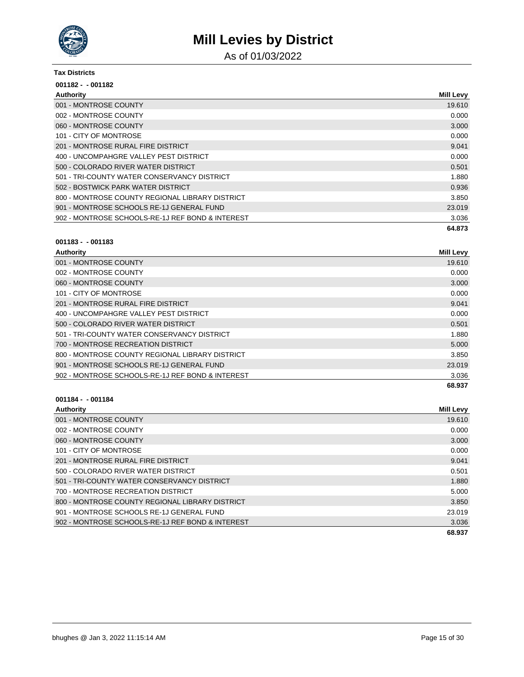

As of 01/03/2022

#### **Tax Districts**

| $001182 - 001182$                                |                  |
|--------------------------------------------------|------------------|
| Authority                                        | <b>Mill Levy</b> |
| 001 - MONTROSE COUNTY                            | 19.610           |
| 002 - MONTROSE COUNTY                            | 0.000            |
| 060 - MONTROSE COUNTY                            | 3.000            |
| 101 - CITY OF MONTROSE                           | 0.000            |
| 201 - MONTROSE RURAL FIRE DISTRICT               | 9.041            |
| 400 - UNCOMPAHGRE VALLEY PEST DISTRICT           | 0.000            |
| 500 - COLORADO RIVER WATER DISTRICT              | 0.501            |
| 501 - TRI-COUNTY WATER CONSERVANCY DISTRICT      | 1.880            |
| 502 - BOSTWICK PARK WATER DISTRICT               | 0.936            |
| 800 - MONTROSE COUNTY REGIONAL LIBRARY DISTRICT  | 3.850            |
| 901 - MONTROSE SCHOOLS RE-1J GENERAL FUND        | 23.019           |
| 902 - MONTROSE SCHOOLS-RE-1J REF BOND & INTEREST | 3.036            |
|                                                  | 64.873           |

#### **001183 - - 001183**

| Authority                                        | <b>Mill Levy</b> |
|--------------------------------------------------|------------------|
| 001 - MONTROSE COUNTY                            | 19.610           |
| 002 - MONTROSE COUNTY                            | 0.000            |
| 060 - MONTROSE COUNTY                            | 3.000            |
| 101 - CITY OF MONTROSE                           | 0.000            |
| 201 - MONTROSE RURAL FIRE DISTRICT               | 9.041            |
| 400 - UNCOMPAHGRE VALLEY PEST DISTRICT           | 0.000            |
| 500 - COLORADO RIVER WATER DISTRICT              | 0.501            |
| 501 - TRI-COUNTY WATER CONSERVANCY DISTRICT      | 1.880            |
| 700 - MONTROSE RECREATION DISTRICT               | 5.000            |
| 800 - MONTROSE COUNTY REGIONAL LIBRARY DISTRICT  | 3.850            |
| 901 - MONTROSE SCHOOLS RE-1J GENERAL FUND        | 23.019           |
| 902 - MONTROSE SCHOOLS-RE-1J REF BOND & INTEREST | 3.036            |
|                                                  | 68.937           |

| <b>Authority</b>                                 | <b>Mill Levy</b> |
|--------------------------------------------------|------------------|
| 001 - MONTROSE COUNTY                            | 19.610           |
| 002 - MONTROSE COUNTY                            | 0.000            |
| 060 - MONTROSE COUNTY                            | 3.000            |
| 101 - CITY OF MONTROSE                           | 0.000            |
| 201 - MONTROSE RURAL FIRE DISTRICT               | 9.041            |
| 500 - COLORADO RIVER WATER DISTRICT              | 0.501            |
| 501 - TRI-COUNTY WATER CONSERVANCY DISTRICT      | 1.880            |
| 700 - MONTROSE RECREATION DISTRICT               | 5.000            |
| 800 - MONTROSE COUNTY REGIONAL LIBRARY DISTRICT  | 3.850            |
| 901 - MONTROSE SCHOOLS RE-1J GENERAL FUND        | 23.019           |
| 902 - MONTROSE SCHOOLS-RE-1J REF BOND & INTEREST | 3.036            |
|                                                  | 68.937           |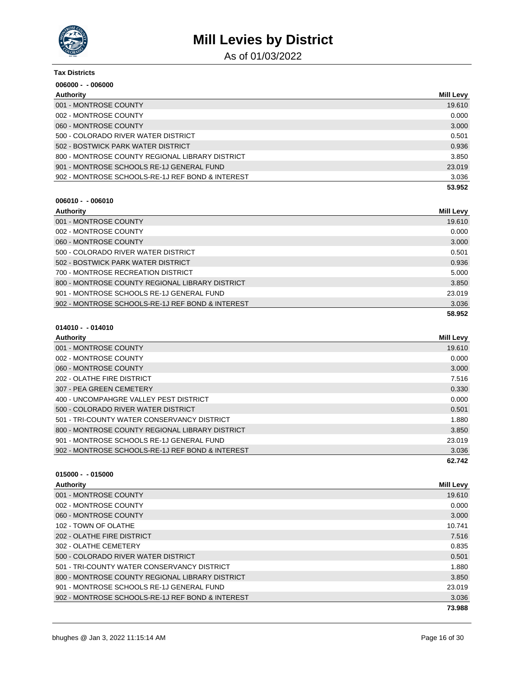

As of 01/03/2022

| <b>Tax Districts</b>                             |                  |
|--------------------------------------------------|------------------|
| $006000 - 006000$                                |                  |
| Authority                                        | <b>Mill Levy</b> |
| 001 - MONTROSE COUNTY                            | 19.610           |
| 002 - MONTROSE COUNTY                            | 0.000            |
| 060 - MONTROSE COUNTY                            | 3.000            |
| 500 - COLORADO RIVER WATER DISTRICT              | 0.501            |
| 502 - BOSTWICK PARK WATER DISTRICT               | 0.936            |
| 800 - MONTROSE COUNTY REGIONAL LIBRARY DISTRICT  | 3.850            |
| 901 - MONTROSE SCHOOLS RE-1J GENERAL FUND        | 23.019           |
| 902 - MONTROSE SCHOOLS-RE-1J REF BOND & INTEREST | 3.036            |
|                                                  | 53.952           |

#### **006010 - - 006010**

| Authority                                        | <b>Mill Levy</b> |
|--------------------------------------------------|------------------|
| 001 - MONTROSE COUNTY                            | 19.610           |
| 002 - MONTROSE COUNTY                            | 0.000            |
| 060 - MONTROSE COUNTY                            | 3.000            |
| 500 - COLORADO RIVER WATER DISTRICT              | 0.501            |
| 502 - BOSTWICK PARK WATER DISTRICT               | 0.936            |
| 700 - MONTROSE RECREATION DISTRICT               | 5.000            |
| 800 - MONTROSE COUNTY REGIONAL LIBRARY DISTRICT  | 3.850            |
| 901 - MONTROSE SCHOOLS RE-1J GENERAL FUND        | 23.019           |
| 902 - MONTROSE SCHOOLS-RE-1J REF BOND & INTEREST | 3.036            |
|                                                  | 58.952           |

### **014010 - - 014010**

| Authority                                        | <b>Mill Levy</b> |
|--------------------------------------------------|------------------|
| 001 - MONTROSE COUNTY                            | 19.610           |
| 002 - MONTROSE COUNTY                            | 0.000            |
| 060 - MONTROSE COUNTY                            | 3.000            |
| 202 - OLATHE FIRE DISTRICT                       | 7.516            |
| 307 - PEA GREEN CEMETERY                         | 0.330            |
| 400 - UNCOMPAHGRE VALLEY PEST DISTRICT           | 0.000            |
| 500 - COLORADO RIVER WATER DISTRICT              | 0.501            |
| 501 - TRI-COUNTY WATER CONSERVANCY DISTRICT      | 1.880            |
| 800 - MONTROSE COUNTY REGIONAL LIBRARY DISTRICT  | 3.850            |
| 901 - MONTROSE SCHOOLS RE-1J GENERAL FUND        | 23.019           |
| 902 - MONTROSE SCHOOLS-RE-1J REF BOND & INTEREST | 3.036            |
|                                                  | 62.742           |

| Authority                                        | <b>Mill Levy</b> |
|--------------------------------------------------|------------------|
| 001 - MONTROSE COUNTY                            | 19.610           |
| 002 - MONTROSE COUNTY                            | 0.000            |
| 060 - MONTROSE COUNTY                            | 3.000            |
| 102 - TOWN OF OLATHE                             | 10.741           |
| 202 - OLATHE FIRE DISTRICT                       | 7.516            |
| 302 - OLATHE CEMETERY                            | 0.835            |
| 500 - COLORADO RIVER WATER DISTRICT              | 0.501            |
| 501 - TRI-COUNTY WATER CONSERVANCY DISTRICT      | 1.880            |
| 800 - MONTROSE COUNTY REGIONAL LIBRARY DISTRICT  | 3.850            |
| 901 - MONTROSE SCHOOLS RE-1J GENERAL FUND        | 23.019           |
| 902 - MONTROSE SCHOOLS-RE-1J REF BOND & INTEREST | 3.036            |
|                                                  | 73.988           |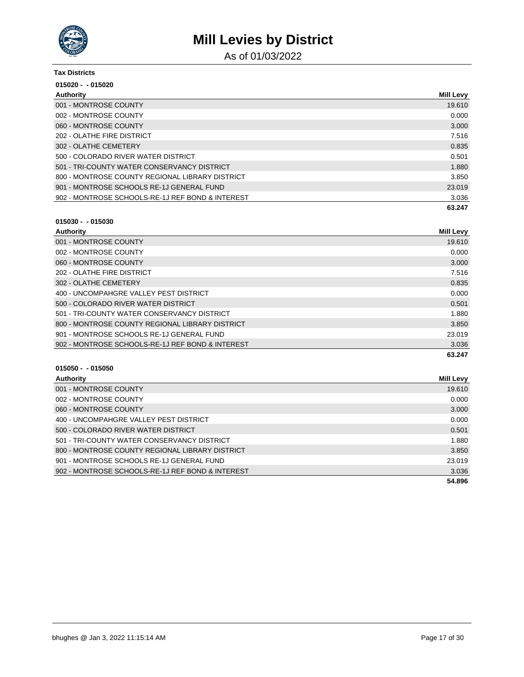

As of 01/03/2022

| <b>Tax Districts</b>                             |                  |
|--------------------------------------------------|------------------|
| $015020 - 015020$                                |                  |
| Authority                                        | <b>Mill Levy</b> |
| 001 - MONTROSE COUNTY                            | 19.610           |
| 002 - MONTROSE COUNTY                            | 0.000            |
| 060 - MONTROSE COUNTY                            | 3.000            |
| 202 - OLATHE FIRE DISTRICT                       | 7.516            |
| 302 - OLATHE CEMETERY                            | 0.835            |
| 500 - COLORADO RIVER WATER DISTRICT              | 0.501            |
| 501 - TRI-COUNTY WATER CONSERVANCY DISTRICT      | 1.880            |
| 800 - MONTROSE COUNTY REGIONAL LIBRARY DISTRICT  | 3.850            |
| 901 - MONTROSE SCHOOLS RE-1J GENERAL FUND        | 23.019           |
| 902 - MONTROSE SCHOOLS-RE-1J REF BOND & INTEREST | 3.036            |
|                                                  | 63.247           |

### **015030 - - 015030**

| Authority                                        | <b>Mill Levy</b> |
|--------------------------------------------------|------------------|
| 001 - MONTROSE COUNTY                            | 19.610           |
| 002 - MONTROSE COUNTY                            | 0.000            |
| 060 - MONTROSE COUNTY                            | 3.000            |
| 202 - OLATHE FIRE DISTRICT                       | 7.516            |
| 302 - OLATHE CEMETERY                            | 0.835            |
| 400 - UNCOMPAHGRE VALLEY PEST DISTRICT           | 0.000            |
| 500 - COLORADO RIVER WATER DISTRICT              | 0.501            |
| 501 - TRI-COUNTY WATER CONSERVANCY DISTRICT      | 1.880            |
| 800 - MONTROSE COUNTY REGIONAL LIBRARY DISTRICT  | 3.850            |
| 901 - MONTROSE SCHOOLS RE-1J GENERAL FUND        | 23.019           |
| 902 - MONTROSE SCHOOLS-RE-1J REF BOND & INTEREST | 3.036            |
|                                                  | 63.247           |

| Authority                                        | Mill Levy |
|--------------------------------------------------|-----------|
| 001 - MONTROSE COUNTY                            | 19.610    |
| 002 - MONTROSE COUNTY                            | 0.000     |
| 060 - MONTROSE COUNTY                            | 3.000     |
| 400 - UNCOMPAHGRE VALLEY PEST DISTRICT           | 0.000     |
| 500 - COLORADO RIVER WATER DISTRICT              | 0.501     |
| 501 - TRI-COUNTY WATER CONSERVANCY DISTRICT      | 1.880     |
| 800 - MONTROSE COUNTY REGIONAL LIBRARY DISTRICT  | 3.850     |
| 901 - MONTROSE SCHOOLS RE-1J GENERAL FUND        | 23.019    |
| 902 - MONTROSE SCHOOLS-RE-1J REF BOND & INTEREST | 3.036     |
|                                                  | 54.896    |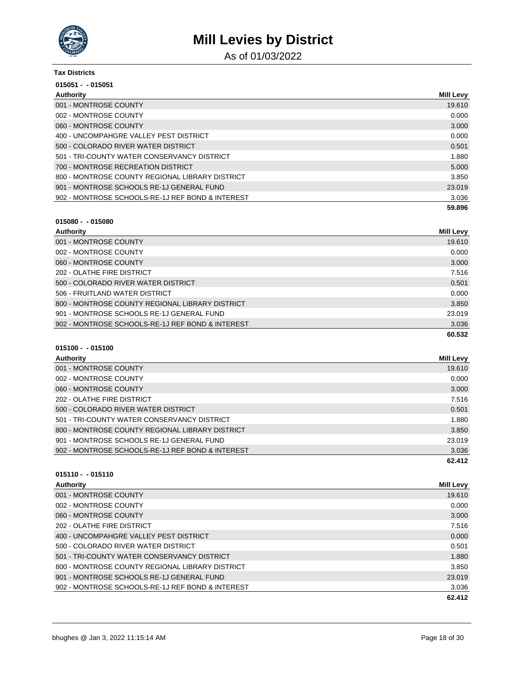

As of 01/03/2022

#### **Tax Districts**

| $015051 - 015051$                                |                  |
|--------------------------------------------------|------------------|
| Authority                                        | <b>Mill Levy</b> |
| 001 - MONTROSE COUNTY                            | 19.610           |
| 002 - MONTROSE COUNTY                            | 0.000            |
| 060 - MONTROSE COUNTY                            | 3.000            |
| 400 - UNCOMPAHGRE VALLEY PEST DISTRICT           | 0.000            |
| 500 - COLORADO RIVER WATER DISTRICT              | 0.501            |
| 501 - TRI-COUNTY WATER CONSERVANCY DISTRICT      | 1.880            |
| 700 - MONTROSE RECREATION DISTRICT               | 5.000            |
| 800 - MONTROSE COUNTY REGIONAL LIBRARY DISTRICT  | 3.850            |
| 901 - MONTROSE SCHOOLS RE-1J GENERAL FUND        | 23.019           |
| 902 - MONTROSE SCHOOLS-RE-1J REF BOND & INTEREST | 3.036            |
|                                                  | 59.896           |

### **015080 - - 015080**

| Authority                                        | <b>Mill Levy</b> |
|--------------------------------------------------|------------------|
| 001 - MONTROSE COUNTY                            | 19.610           |
| 002 - MONTROSE COUNTY                            | 0.000            |
| 060 - MONTROSE COUNTY                            | 3.000            |
| 202 - OLATHE FIRE DISTRICT                       | 7.516            |
| 500 - COLORADO RIVER WATER DISTRICT              | 0.501            |
| 506 - FRUITLAND WATER DISTRICT                   | 0.000            |
| 800 - MONTROSE COUNTY REGIONAL LIBRARY DISTRICT  | 3.850            |
| 901 - MONTROSE SCHOOLS RE-1J GENERAL FUND        | 23.019           |
| 902 - MONTROSE SCHOOLS-RE-1J REF BOND & INTEREST | 3.036            |
|                                                  | 60.532           |

### **015100 - - 015100**

| Authority                                        | Mill Levy |
|--------------------------------------------------|-----------|
| 001 - MONTROSE COUNTY                            | 19.610    |
| 002 - MONTROSE COUNTY                            | 0.000     |
| 060 - MONTROSE COUNTY                            | 3.000     |
| 202 - OLATHE FIRE DISTRICT                       | 7.516     |
| 500 - COLORADO RIVER WATER DISTRICT              | 0.501     |
| 501 - TRI-COUNTY WATER CONSERVANCY DISTRICT      | 1.880     |
| 800 - MONTROSE COUNTY REGIONAL LIBRARY DISTRICT  | 3.850     |
| 901 - MONTROSE SCHOOLS RE-1J GENERAL FUND        | 23.019    |
| 902 - MONTROSE SCHOOLS-RE-1J REF BOND & INTEREST | 3.036     |
|                                                  | 62.412    |

| <b>Authority</b>                                 | <b>Mill Levy</b> |
|--------------------------------------------------|------------------|
| 001 - MONTROSE COUNTY                            | 19.610           |
| 002 - MONTROSE COUNTY                            | 0.000            |
| 060 - MONTROSE COUNTY                            | 3.000            |
| 202 - OLATHE FIRE DISTRICT                       | 7.516            |
| 400 - UNCOMPAHGRE VALLEY PEST DISTRICT           | 0.000            |
| 500 - COLORADO RIVER WATER DISTRICT              | 0.501            |
| 501 - TRI-COUNTY WATER CONSERVANCY DISTRICT      | 1.880            |
| 800 - MONTROSE COUNTY REGIONAL LIBRARY DISTRICT  | 3.850            |
| 901 - MONTROSE SCHOOLS RE-1J GENERAL FUND        | 23,019           |
| 902 - MONTROSE SCHOOLS-RE-1J REF BOND & INTEREST | 3.036            |
|                                                  | 62.412           |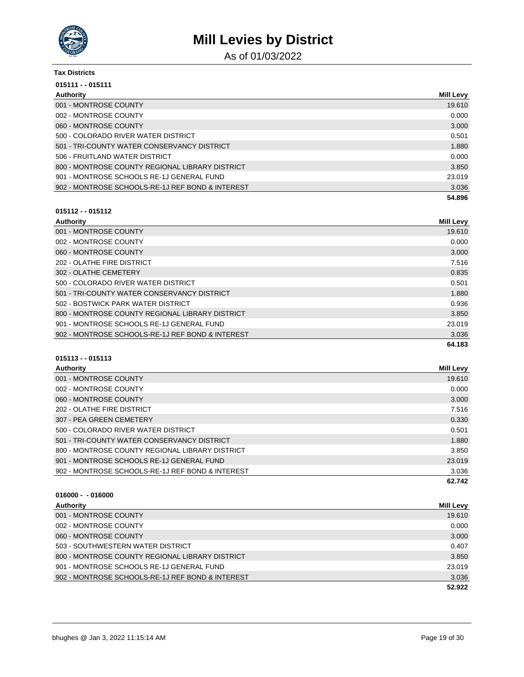

As of 01/03/2022

| <b>Tax Districts</b>                             |                  |
|--------------------------------------------------|------------------|
| $015111 - 015111$                                |                  |
| Authority                                        | <b>Mill Levy</b> |
| 001 - MONTROSE COUNTY                            | 19.610           |
| 002 - MONTROSE COUNTY                            | 0.000            |
| 060 - MONTROSE COUNTY                            | 3.000            |
| 500 - COLORADO RIVER WATER DISTRICT              | 0.501            |
| 501 - TRI-COUNTY WATER CONSERVANCY DISTRICT      | 1.880            |
| 506 - FRUITLAND WATER DISTRICT                   | 0.000            |
| 800 - MONTROSE COUNTY REGIONAL LIBRARY DISTRICT  | 3.850            |
| 901 - MONTROSE SCHOOLS RE-1J GENERAL FUND        | 23.019           |
| 902 - MONTROSE SCHOOLS-RE-1J REF BOND & INTEREST | 3.036            |
|                                                  | 54.896           |

### **015112 - - 015112**

| Authority                                        | <b>Mill Levy</b> |
|--------------------------------------------------|------------------|
| 001 - MONTROSE COUNTY                            | 19.610           |
| 002 - MONTROSE COUNTY                            | 0.000            |
| 060 - MONTROSE COUNTY                            | 3.000            |
| 202 - OLATHE FIRE DISTRICT                       | 7.516            |
| 302 - OLATHE CEMETERY                            | 0.835            |
| 500 - COLORADO RIVER WATER DISTRICT              | 0.501            |
| 501 - TRI-COUNTY WATER CONSERVANCY DISTRICT      | 1.880            |
| 502 - BOSTWICK PARK WATER DISTRICT               | 0.936            |
| 800 - MONTROSE COUNTY REGIONAL LIBRARY DISTRICT  | 3.850            |
| 901 - MONTROSE SCHOOLS RE-1J GENERAL FUND        | 23.019           |
| 902 - MONTROSE SCHOOLS-RE-1J REF BOND & INTEREST | 3.036            |
|                                                  | 64.183           |

### **015113 - - 015113**

| <b>Authority</b>                                 | Mill Levy |
|--------------------------------------------------|-----------|
| 001 - MONTROSE COUNTY                            | 19.610    |
| 002 - MONTROSE COUNTY                            | 0.000     |
| 060 - MONTROSE COUNTY                            | 3.000     |
| 202 - OLATHE FIRE DISTRICT                       | 7.516     |
| 307 - PEA GREEN CEMETERY                         | 0.330     |
| 500 - COLORADO RIVER WATER DISTRICT              | 0.501     |
| 501 - TRI-COUNTY WATER CONSERVANCY DISTRICT      | 1.880     |
| 800 - MONTROSE COUNTY REGIONAL LIBRARY DISTRICT  | 3.850     |
| 901 - MONTROSE SCHOOLS RE-1J GENERAL FUND        | 23.019    |
| 902 - MONTROSE SCHOOLS-RE-1J REF BOND & INTEREST | 3.036     |
|                                                  | 62.742    |

| Authority                                        | <b>Mill Levy</b> |
|--------------------------------------------------|------------------|
| 001 - MONTROSE COUNTY                            | 19.610           |
| 002 - MONTROSE COUNTY                            | 0.000            |
| 060 - MONTROSE COUNTY                            | 3.000            |
| 503 - SOUTHWESTERN WATER DISTRICT                | 0.407            |
| 800 - MONTROSE COUNTY REGIONAL LIBRARY DISTRICT  | 3.850            |
| 901 - MONTROSE SCHOOLS RE-1J GENERAL FUND        | 23.019           |
| 902 - MONTROSE SCHOOLS-RE-1J REF BOND & INTEREST | 3.036            |
|                                                  | 52.922           |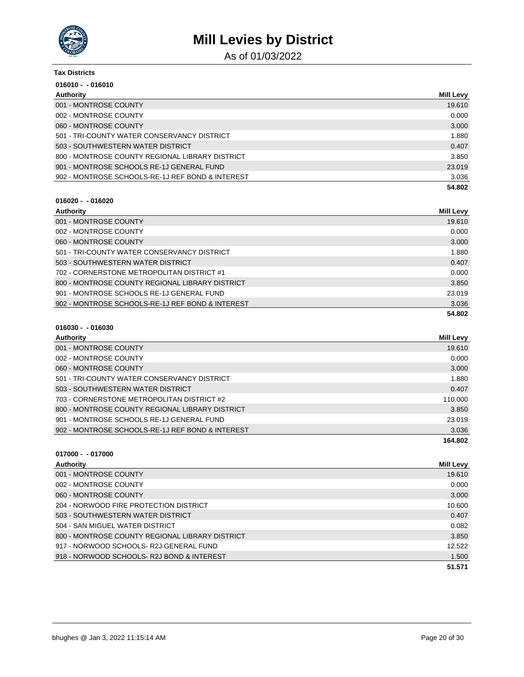

As of 01/03/2022

| Tax Districts                                    |                  |
|--------------------------------------------------|------------------|
| $016010 - 016010$                                |                  |
| Authority                                        | <b>Mill Levy</b> |
| 001 - MONTROSE COUNTY                            | 19.610           |
| 002 - MONTROSE COUNTY                            | 0.000            |
| 060 - MONTROSE COUNTY                            | 3.000            |
| 501 - TRI-COUNTY WATER CONSERVANCY DISTRICT      | 1.880            |
| 503 - SOUTHWESTERN WATER DISTRICT                | 0.407            |
| 800 - MONTROSE COUNTY REGIONAL LIBRARY DISTRICT  | 3.850            |
| 901 - MONTROSE SCHOOLS RE-1J GENERAL FUND        | 23,019           |
| 902 - MONTROSE SCHOOLS-RE-1J REF BOND & INTEREST | 3.036            |
|                                                  | 54.802           |

#### **016020 - - 016020**

| Authority                                        | Mill Levy |
|--------------------------------------------------|-----------|
| 001 - MONTROSE COUNTY                            | 19.610    |
| 002 - MONTROSE COUNTY                            | 0.000     |
| 060 - MONTROSE COUNTY                            | 3.000     |
| 501 - TRI-COUNTY WATER CONSERVANCY DISTRICT      | 1.880     |
| 503 - SOUTHWESTERN WATER DISTRICT                | 0.407     |
| 702 - CORNERSTONE METROPOLITAN DISTRICT #1       | 0.000     |
| 800 - MONTROSE COUNTY REGIONAL LIBRARY DISTRICT  | 3.850     |
| 901 - MONTROSE SCHOOLS RE-1J GENERAL FUND        | 23.019    |
| 902 - MONTROSE SCHOOLS-RE-1J REF BOND & INTEREST | 3.036     |
|                                                  | 54.802    |

| <b>Authority</b>                                 | Mill Levy |
|--------------------------------------------------|-----------|
| 001 - MONTROSE COUNTY                            | 19.610    |
| 002 - MONTROSE COUNTY                            | 0.000     |
| 060 - MONTROSE COUNTY                            | 3.000     |
| 501 - TRI-COUNTY WATER CONSERVANCY DISTRICT      | 1.880     |
| 503 - SOUTHWESTERN WATER DISTRICT                | 0.407     |
| 703 - CORNERSTONE METROPOLITAN DISTRICT #2       | 110.000   |
| 800 - MONTROSE COUNTY REGIONAL LIBRARY DISTRICT  | 3.850     |
| 901 - MONTROSE SCHOOLS RE-1J GENERAL FUND        | 23.019    |
| 902 - MONTROSE SCHOOLS-RE-1J REF BOND & INTEREST | 3.036     |
|                                                  | 164.802   |

|  | $017000 - 017000$ |
|--|-------------------|
|  |                   |

| <b>Authority</b>                                | Mill Levy |
|-------------------------------------------------|-----------|
| 001 - MONTROSE COUNTY                           | 19.610    |
| 002 - MONTROSE COUNTY                           | 0.000     |
| 060 - MONTROSE COUNTY                           | 3.000     |
| 204 - NORWOOD FIRE PROTECTION DISTRICT          | 10.600    |
| 503 - SOUTHWESTERN WATER DISTRICT               | 0.407     |
| 504 - SAN MIGUEL WATER DISTRICT                 | 0.082     |
| 800 - MONTROSE COUNTY REGIONAL LIBRARY DISTRICT | 3.850     |
| 917 - NORWOOD SCHOOLS- R2J GENERAL FUND         | 12.522    |
| 918 - NORWOOD SCHOOLS-R2J BOND & INTEREST       | 1.500     |
|                                                 | 51.571    |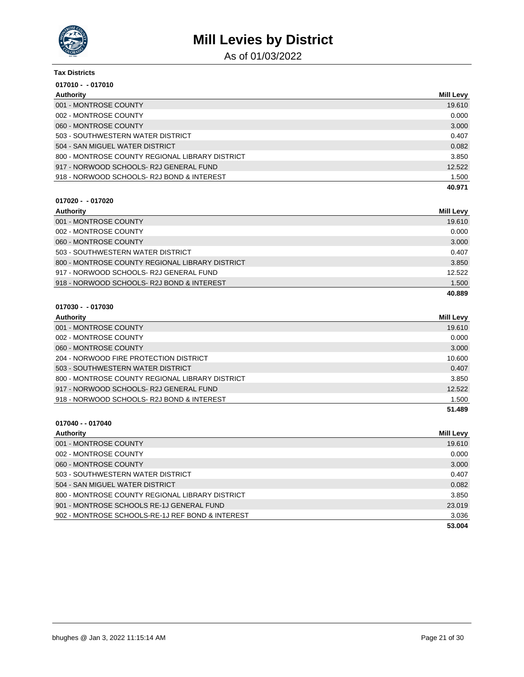

As of 01/03/2022

#### **Tax Districts**

| $017010 - 017010$                               |                  |
|-------------------------------------------------|------------------|
| Authority                                       | <b>Mill Levy</b> |
| 001 - MONTROSE COUNTY                           | 19.610           |
| 002 - MONTROSE COUNTY                           | 0.000            |
| 060 - MONTROSE COUNTY                           | 3.000            |
| 503 - SOUTHWESTERN WATER DISTRICT               | 0.407            |
| 504 - SAN MIGUEL WATER DISTRICT                 | 0.082            |
| 800 - MONTROSE COUNTY REGIONAL LIBRARY DISTRICT | 3.850            |
| 917 - NORWOOD SCHOOLS-R2J GENERAL FUND          | 12.522           |
| 918 - NORWOOD SCHOOLS-R2J BOND & INTEREST       | 1.500            |
|                                                 | 40.971           |

#### **017020 - - 017020**

| Authority                                       | Mill Levy |
|-------------------------------------------------|-----------|
| 001 - MONTROSE COUNTY                           | 19.610    |
| 002 - MONTROSE COUNTY                           | 0.000     |
| 060 - MONTROSE COUNTY                           | 3.000     |
| 503 - SOUTHWESTERN WATER DISTRICT               | 0.407     |
| 800 - MONTROSE COUNTY REGIONAL LIBRARY DISTRICT | 3.850     |
| 917 - NORWOOD SCHOOLS-R2J GENERAL FUND          | 12.522    |
| 918 - NORWOOD SCHOOLS-R2J BOND & INTEREST       | 1.500     |
|                                                 | 40.889    |

#### **017030 - - 017030**

**017040 - - 017040**

| Authority                                       | <b>Mill Levy</b> |
|-------------------------------------------------|------------------|
| 001 - MONTROSE COUNTY                           | 19.610           |
| 002 - MONTROSE COUNTY                           | 0.000            |
| 060 - MONTROSE COUNTY                           | 3.000            |
| 204 - NORWOOD FIRE PROTECTION DISTRICT          | 10.600           |
| 503 - SOUTHWESTERN WATER DISTRICT               | 0.407            |
| 800 - MONTROSE COUNTY REGIONAL LIBRARY DISTRICT | 3.850            |
| 917 - NORWOOD SCHOOLS-R2J GENERAL FUND          | 12.522           |
| 918 - NORWOOD SCHOOLS-R2J BOND & INTEREST       | 1.500            |
|                                                 | 51.489           |

### **Authority Mill Levy** 001 - MONTROSE COUNTY 19.610 002 - MONTROSE COUNTY 0.000 NOTES AND THE SERVICE OF THE SERVICE OF THE SERVICE OF THE SERVICE OF THE SERVICE O 060 - MONTROSE COUNTY 3.000 503 - SOUTHWESTERN WATER DISTRICT 0.407 504 - SAN MIGUEL WATER DISTRICT 0.082 800 - MONTROSE COUNTY REGIONAL LIBRARY DISTRICT **1990 - 1991 - 1991 - 1991 - 1991 - 1991 - 1991** - 3.850 901 - MONTROSE SCHOOLS RE-1J GENERAL FUND 23.019 902 - MONTROSE SCHOOLS-RE-1J REF BOND & INTEREST 3.036 **53.004**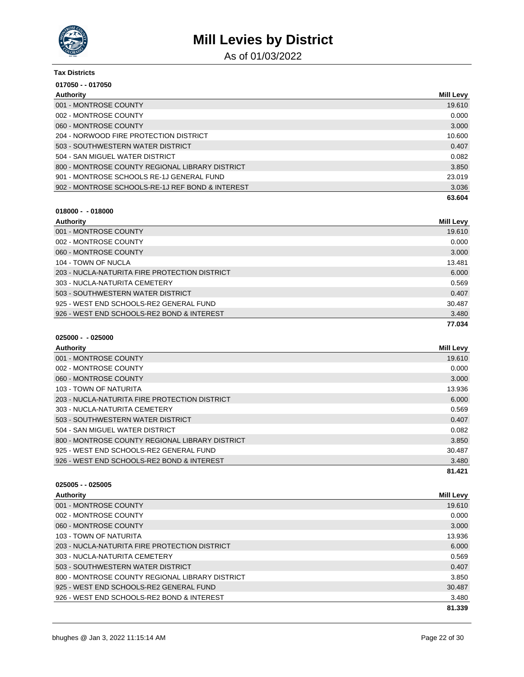

As of 01/03/2022

| <b>Tax Districts</b>                             |                  |
|--------------------------------------------------|------------------|
| 017050 - - 017050                                |                  |
| Authority                                        | <b>Mill Levy</b> |
| 001 - MONTROSE COUNTY                            | 19.610           |
| 002 - MONTROSE COUNTY                            | 0.000            |
| 060 - MONTROSE COUNTY                            | 3.000            |
| 204 - NORWOOD FIRE PROTECTION DISTRICT           | 10.600           |
| 503 - SOUTHWESTERN WATER DISTRICT                | 0.407            |
| 504 - SAN MIGUEL WATER DISTRICT                  | 0.082            |
| 800 - MONTROSE COUNTY REGIONAL LIBRARY DISTRICT  | 3.850            |
| 901 - MONTROSE SCHOOLS RE-1J GENERAL FUND        | 23.019           |
| 902 - MONTROSE SCHOOLS-RE-1J REF BOND & INTEREST | 3.036            |
|                                                  | 63.604           |

## **018000 - - 018000**

**025000 - - 025000**

| Authority                                     | Mill Levy |
|-----------------------------------------------|-----------|
| 001 - MONTROSE COUNTY                         | 19.610    |
| 002 - MONTROSE COUNTY                         | 0.000     |
| 060 - MONTROSE COUNTY                         | 3.000     |
| 104 - TOWN OF NUCLA                           | 13.481    |
| 203 - NUCLA-NATURITA FIRE PROTECTION DISTRICT | 6.000     |
| 303 - NUCLA-NATURITA CEMETERY                 | 0.569     |
| 503 - SOUTHWESTERN WATER DISTRICT             | 0.407     |
| 925 - WEST END SCHOOLS-RE2 GENERAL FUND       | 30.487    |
| 926 - WEST END SCHOOLS-RE2 BOND & INTEREST    | 3.480     |
|                                               | 77.034    |

| Authority                                       | <b>Mill Levy</b> |
|-------------------------------------------------|------------------|
| 001 - MONTROSE COUNTY                           | 19.610           |
| 002 - MONTROSE COUNTY                           | 0.000            |
| 060 - MONTROSE COUNTY                           | 3.000            |
| 103 - TOWN OF NATURITA                          | 13.936           |
| 203 - NUCLA-NATURITA FIRE PROTECTION DISTRICT   | 6.000            |
| 303 - NUCLA-NATURITA CEMETERY                   | 0.569            |
| 503 - SOUTHWESTERN WATER DISTRICT               | 0.407            |
| 504 - SAN MIGUEL WATER DISTRICT                 | 0.082            |
| 800 - MONTROSE COUNTY REGIONAL LIBRARY DISTRICT | 3.850            |
| 925 - WEST END SCHOOLS-RE2 GENERAL FUND         | 30.487           |
| 926 - WEST END SCHOOLS-RE2 BOND & INTEREST      | 3.480            |
|                                                 | 81.421           |

| Mill Levy |
|-----------|
| 19.610    |
| 0.000     |
| 3.000     |
| 13.936    |
| 6.000     |
| 0.569     |
| 0.407     |
| 3.850     |
| 30.487    |
| 3.480     |
| 81.339    |
|           |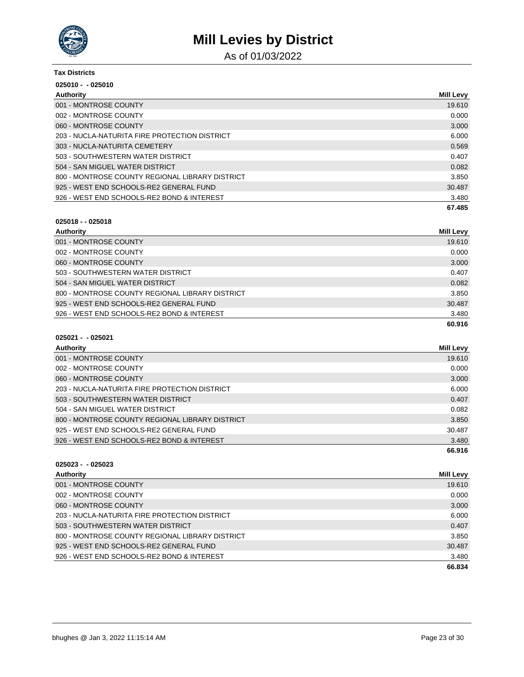

As of 01/03/2022

| <b>Tax Districts</b> |
|----------------------|
|                      |

| $025010 - 025010$                               |                  |
|-------------------------------------------------|------------------|
| Authority                                       | <b>Mill Levy</b> |
| 001 - MONTROSE COUNTY                           | 19.610           |
| 002 - MONTROSE COUNTY                           | 0.000            |
| 060 - MONTROSE COUNTY                           | 3.000            |
| 203 - NUCLA-NATURITA FIRE PROTECTION DISTRICT   | 6.000            |
| 303 - NUCLA-NATURITA CEMETERY                   | 0.569            |
| 503 - SOUTHWESTERN WATER DISTRICT               | 0.407            |
| 504 - SAN MIGUEL WATER DISTRICT                 | 0.082            |
| 800 - MONTROSE COUNTY REGIONAL LIBRARY DISTRICT | 3.850            |
| 925 - WEST END SCHOOLS-RE2 GENERAL FUND         | 30.487           |
| 926 - WEST END SCHOOLS-RE2 BOND & INTEREST      | 3.480            |
|                                                 | 67.485           |

### **025018 - - 025018**

| Authority                                       | Mill Levy |
|-------------------------------------------------|-----------|
| 001 - MONTROSE COUNTY                           | 19.610    |
| 002 - MONTROSE COUNTY                           | 0.000     |
| 060 - MONTROSE COUNTY                           | 3.000     |
| 503 - SOUTHWESTERN WATER DISTRICT               | 0.407     |
| 504 - SAN MIGUEL WATER DISTRICT                 | 0.082     |
| 800 - MONTROSE COUNTY REGIONAL LIBRARY DISTRICT | 3.850     |
| 925 - WEST END SCHOOLS-RE2 GENERAL FUND         | 30.487    |
| 926 - WEST END SCHOOLS-RE2 BOND & INTEREST      | 3.480     |
|                                                 | 60.916    |

### **025021 - - 025021 Authority Mill Levy** 001 - MONTROSE COUNTY **19.610** 002 - MONTROSE COUNTY 0.000 060 - MONTROSE COUNTY 3.000 NORTH AND THE SERVICE OF THE SERVICE OF THE SERVICE OF THE SERVICE OF THE SERVICE O 203 - NUCLA-NATURITA FIRE PROTECTION DISTRICT 6.000 503 - SOUTHWESTERN WATER DISTRICT 0.407 504 - SAN MIGUEL WATER DISTRICT 0.082 800 - MONTROSE COUNTY REGIONAL LIBRARY DISTRICT AND A SERVICE OF A SERVICE STATE OF A SERVICE STATE OF A SERVICE STATE OF A SERVICE STATE OF A SERVICE STATE OF A SERVICE STATE OF A SERVICE STATE OF A SERVICE STATE OF A SER 925 - WEST END SCHOOLS-RE2 GENERAL FUND 30.487 926 - WEST END SCHOOLS-RE2 BOND & INTEREST 3.480 **66.916**

| $025023 - 025023$                               |                  |
|-------------------------------------------------|------------------|
| Authority                                       | <b>Mill Levy</b> |
| 001 - MONTROSE COUNTY                           | 19.610           |
| 002 - MONTROSE COUNTY                           | 0.000            |
| 060 - MONTROSE COUNTY                           | 3.000            |
| 203 - NUCLA-NATURITA FIRE PROTECTION DISTRICT   | 6.000            |
| 503 - SOUTHWESTERN WATER DISTRICT               | 0.407            |
| 800 - MONTROSE COUNTY REGIONAL LIBRARY DISTRICT | 3.850            |
| 925 - WEST END SCHOOLS-RE2 GENERAL FUND         | 30.487           |
| 926 - WEST END SCHOOLS-RE2 BOND & INTEREST      | 3.480            |
|                                                 | 66.834           |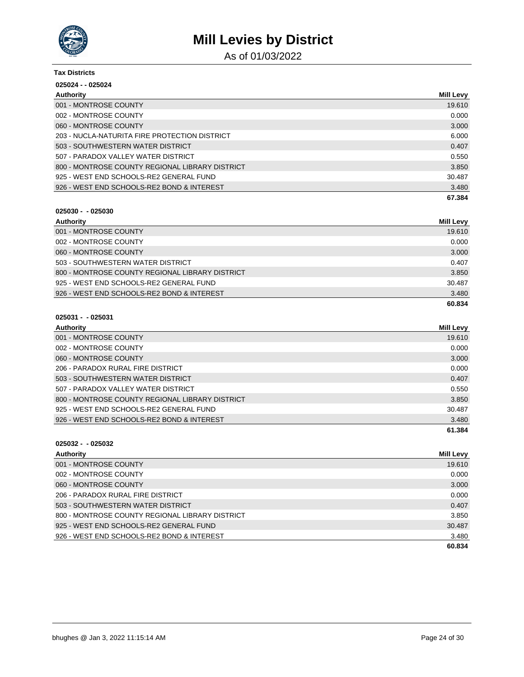

As of 01/03/2022

| <b>Tax Districts</b>                            |                  |
|-------------------------------------------------|------------------|
| 025024 - - 025024                               |                  |
| Authority                                       | <b>Mill Levy</b> |
| 001 - MONTROSE COUNTY                           | 19.610           |
| 002 - MONTROSE COUNTY                           | 0.000            |
| 060 - MONTROSE COUNTY                           | 3.000            |
| 203 - NUCLA-NATURITA FIRE PROTECTION DISTRICT   | 6.000            |
| 503 - SOUTHWESTERN WATER DISTRICT               | 0.407            |
| 507 - PARADOX VALLEY WATER DISTRICT             | 0.550            |
| 800 - MONTROSE COUNTY REGIONAL LIBRARY DISTRICT | 3.850            |
| 925 - WEST END SCHOOLS-RE2 GENERAL FUND         | 30.487           |
| 926 - WEST END SCHOOLS-RE2 BOND & INTEREST      | 3.480            |
|                                                 | 67.384           |

# **025030 - - 025030**

| Authority                                       | <b>Mill Levy</b> |
|-------------------------------------------------|------------------|
| 001 - MONTROSE COUNTY                           | 19.610           |
| 002 - MONTROSE COUNTY                           | 0.000            |
| 060 - MONTROSE COUNTY                           | 3.000            |
| 503 - SOUTHWESTERN WATER DISTRICT               | 0.407            |
| 800 - MONTROSE COUNTY REGIONAL LIBRARY DISTRICT | 3.850            |
| 925 - WEST END SCHOOLS-RE2 GENERAL FUND         | 30.487           |
| 926 - WEST END SCHOOLS-RE2 BOND & INTEREST      | 3.480            |
|                                                 | 60.834           |

### **025031 - - 025031**

| Authority                                       | <b>Mill Levy</b> |
|-------------------------------------------------|------------------|
| 001 - MONTROSE COUNTY                           | 19.610           |
| 002 - MONTROSE COUNTY                           | 0.000            |
| 060 - MONTROSE COUNTY                           | 3.000            |
| 206 - PARADOX RURAL FIRE DISTRICT               | 0.000            |
| 503 - SOUTHWESTERN WATER DISTRICT               | 0.407            |
| 507 - PARADOX VALLEY WATER DISTRICT             | 0.550            |
| 800 - MONTROSE COUNTY REGIONAL LIBRARY DISTRICT | 3.850            |
| 925 - WEST END SCHOOLS-RE2 GENERAL FUND         | 30.487           |
| 926 - WEST END SCHOOLS-RE2 BOND & INTEREST      | 3.480            |
|                                                 | 61.384           |

| Authority                                       | Mill Levy |
|-------------------------------------------------|-----------|
| 001 - MONTROSE COUNTY                           | 19.610    |
| 002 - MONTROSE COUNTY                           | 0.000     |
| 060 - MONTROSE COUNTY                           | 3.000     |
| 206 - PARADOX RURAL FIRE DISTRICT               | 0.000     |
| 503 - SOUTHWESTERN WATER DISTRICT               | 0.407     |
| 800 - MONTROSE COUNTY REGIONAL LIBRARY DISTRICT | 3.850     |
| 925 - WEST END SCHOOLS-RE2 GENERAL FUND         | 30.487    |
| 926 - WEST END SCHOOLS-RE2 BOND & INTEREST      | 3.480     |
|                                                 | 60.834    |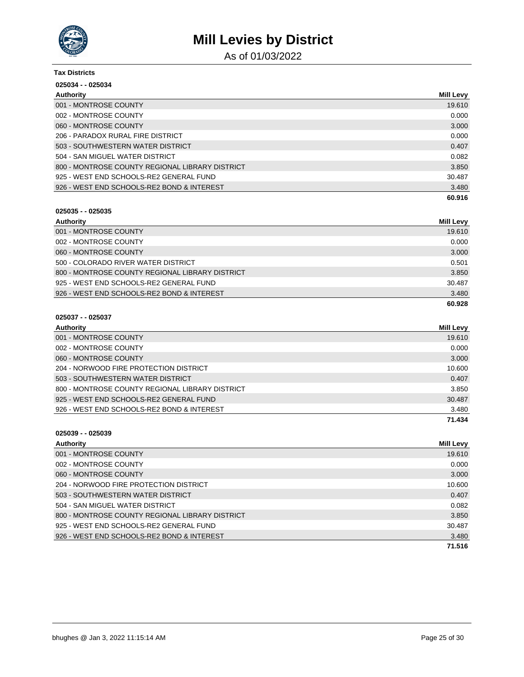

As of 01/03/2022

| <b>Tax Districts</b>                            |                  |
|-------------------------------------------------|------------------|
| 025034 - - 025034                               |                  |
| Authority                                       | <b>Mill Levy</b> |
| 001 - MONTROSE COUNTY                           | 19.610           |
| 002 - MONTROSE COUNTY                           | 0.000            |
| 060 - MONTROSE COUNTY                           | 3.000            |
| 206 - PARADOX RURAL FIRE DISTRICT               | 0.000            |
| 503 - SOUTHWESTERN WATER DISTRICT               | 0.407            |
| 504 - SAN MIGUEL WATER DISTRICT                 | 0.082            |
| 800 - MONTROSE COUNTY REGIONAL LIBRARY DISTRICT | 3.850            |
| 925 - WEST END SCHOOLS-RE2 GENERAL FUND         | 30.487           |
| 926 - WEST END SCHOOLS-RE2 BOND & INTEREST      | 3.480            |
|                                                 | 60.916           |

# **025035 - - 025035**

| Authority                                       | <b>Mill Levy</b> |
|-------------------------------------------------|------------------|
| 001 - MONTROSE COUNTY                           | 19.610           |
| 002 - MONTROSE COUNTY                           | 0.000            |
| 060 - MONTROSE COUNTY                           | 3.000            |
| 500 - COLORADO RIVER WATER DISTRICT             | 0.501            |
| 800 - MONTROSE COUNTY REGIONAL LIBRARY DISTRICT | 3.850            |
| 925 - WEST END SCHOOLS-RE2 GENERAL FUND         | 30.487           |
| 926 - WEST END SCHOOLS-RE2 BOND & INTEREST      | 3.480            |
|                                                 | 60.928           |

### **025037 - - 025037**

| Authority                                       | <b>Mill Levy</b> |
|-------------------------------------------------|------------------|
| 001 - MONTROSE COUNTY                           | 19.610           |
| 002 - MONTROSE COUNTY                           | 0.000            |
| 060 - MONTROSE COUNTY                           | 3.000            |
| 204 - NORWOOD FIRE PROTECTION DISTRICT          | 10.600           |
| 503 - SOUTHWESTERN WATER DISTRICT               | 0.407            |
| 800 - MONTROSE COUNTY REGIONAL LIBRARY DISTRICT | 3.850            |
| 925 - WEST END SCHOOLS-RE2 GENERAL FUND         | 30.487           |
| 926 - WEST END SCHOOLS-RE2 BOND & INTEREST      | 3.480            |
|                                                 | 71.434           |

| Authority                                       | Mill Levy |
|-------------------------------------------------|-----------|
| 001 - MONTROSE COUNTY                           | 19.610    |
| 002 - MONTROSE COUNTY                           | 0.000     |
| 060 - MONTROSE COUNTY                           | 3.000     |
| 204 - NORWOOD FIRE PROTECTION DISTRICT          | 10.600    |
| 503 - SOUTHWESTERN WATER DISTRICT               | 0.407     |
| 504 - SAN MIGUEL WATER DISTRICT                 | 0.082     |
| 800 - MONTROSE COUNTY REGIONAL LIBRARY DISTRICT | 3.850     |
| 925 - WEST END SCHOOLS-RE2 GENERAL FUND         | 30.487    |
| 926 - WEST END SCHOOLS-RE2 BOND & INTEREST      | 3.480     |
|                                                 | 71.516    |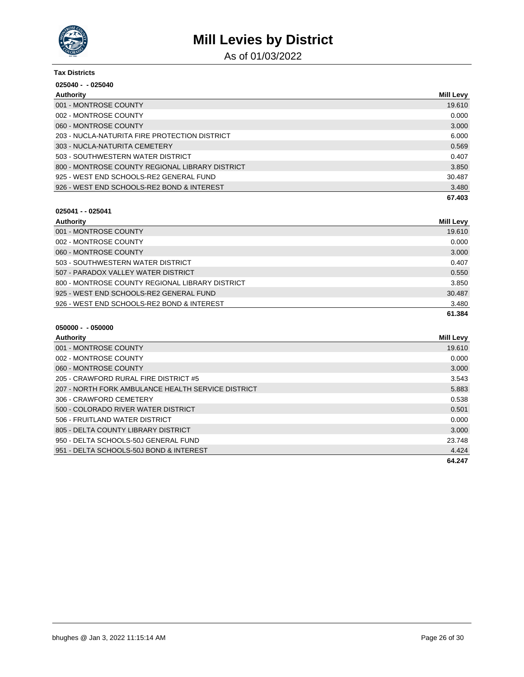

As of 01/03/2022

#### **Tax Districts**

| $025040 - 025040$                               |                  |
|-------------------------------------------------|------------------|
| Authority                                       | <b>Mill Levy</b> |
| 001 - MONTROSE COUNTY                           | 19.610           |
| 002 - MONTROSE COUNTY                           | 0.000            |
| 060 - MONTROSE COUNTY                           | 3.000            |
| 203 - NUCLA-NATURITA FIRE PROTECTION DISTRICT   | 6.000            |
| 303 - NUCLA-NATURITA CEMETERY                   | 0.569            |
| 503 - SOUTHWESTERN WATER DISTRICT               | 0.407            |
| 800 - MONTROSE COUNTY REGIONAL LIBRARY DISTRICT | 3.850            |
| 925 - WEST END SCHOOLS-RE2 GENERAL FUND         | 30.487           |
| 926 - WEST END SCHOOLS-RE2 BOND & INTEREST      | 3.480            |
|                                                 | 67.403           |

## **025041 - - 025041**

| Authority                                       | Mill Levy |
|-------------------------------------------------|-----------|
| 001 - MONTROSE COUNTY                           | 19.610    |
| 002 - MONTROSE COUNTY                           | 0.000     |
| 060 - MONTROSE COUNTY                           | 3.000     |
| 503 - SOUTHWESTERN WATER DISTRICT               | 0.407     |
| 507 - PARADOX VALLEY WATER DISTRICT             | 0.550     |
| 800 - MONTROSE COUNTY REGIONAL LIBRARY DISTRICT | 3.850     |
| 925 - WEST END SCHOOLS-RE2 GENERAL FUND         | 30.487    |
| 926 - WEST END SCHOOLS-RE2 BOND & INTEREST      | 3.480     |
|                                                 | 61.384    |

| Authority                                          | <b>Mill Levy</b> |
|----------------------------------------------------|------------------|
| 001 - MONTROSE COUNTY                              | 19.610           |
| 002 - MONTROSE COUNTY                              | 0.000            |
| 060 - MONTROSE COUNTY                              | 3.000            |
| 205 - CRAWFORD RURAL FIRE DISTRICT #5              | 3.543            |
| 207 - NORTH FORK AMBULANCE HEALTH SERVICE DISTRICT | 5.883            |
| 306 - CRAWFORD CEMETERY                            | 0.538            |
| 500 - COLORADO RIVER WATER DISTRICT                | 0.501            |
| 506 - FRUITLAND WATER DISTRICT                     | 0.000            |
| 805 - DELTA COUNTY LIBRARY DISTRICT                | 3.000            |
| 950 - DELTA SCHOOLS-50J GENERAL FUND               | 23.748           |
| 951 - DELTA SCHOOLS-50J BOND & INTEREST            | 4.424            |
|                                                    | 64.247           |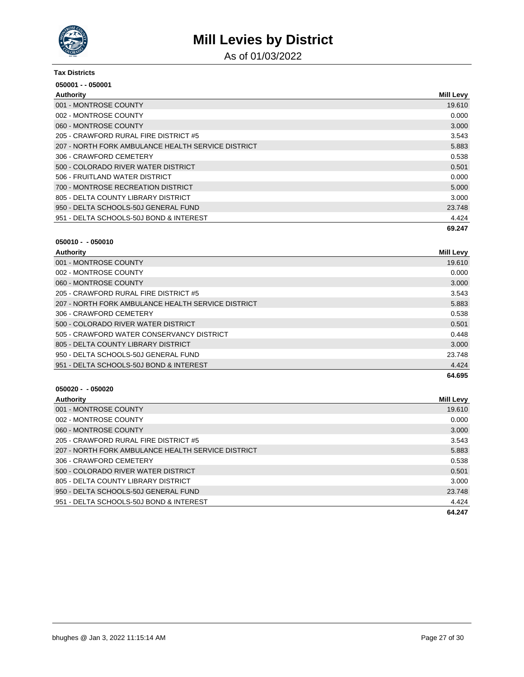

As of 01/03/2022

| <b>Tax Districts</b>                               |           |
|----------------------------------------------------|-----------|
| 050001 - - 050001                                  |           |
| Authority                                          | Mill Levy |
| 001 - MONTROSE COUNTY                              | 19.610    |
| 002 - MONTROSE COUNTY                              | 0.000     |
| 060 - MONTROSE COUNTY                              | 3.000     |
| 205 - CRAWFORD RURAL FIRE DISTRICT #5              | 3.543     |
| 207 - NORTH FORK AMBULANCE HEALTH SERVICE DISTRICT | 5.883     |
| 306 - CRAWFORD CEMETERY                            | 0.538     |
| 500 - COLORADO RIVER WATER DISTRICT                | 0.501     |
| 506 - FRUITLAND WATER DISTRICT                     | 0.000     |
| 700 - MONTROSE RECREATION DISTRICT                 | 5.000     |
| 805 - DELTA COUNTY LIBRARY DISTRICT                | 3.000     |
| 950 - DELTA SCHOOLS-50J GENERAL FUND               | 23.748    |
| 951 - DELTA SCHOOLS-50J BOND & INTEREST            | 4.424     |
|                                                    | 69.247    |

#### **050010 - - 050010**

| Authority                                          | <b>Mill Levy</b> |
|----------------------------------------------------|------------------|
| 001 - MONTROSE COUNTY                              | 19.610           |
| 002 - MONTROSE COUNTY                              | 0.000            |
| 060 - MONTROSE COUNTY                              | 3.000            |
| 205 - CRAWFORD RURAL FIRE DISTRICT #5              | 3.543            |
| 207 - NORTH FORK AMBULANCE HEALTH SERVICE DISTRICT | 5.883            |
| 306 - CRAWFORD CEMETERY                            | 0.538            |
| 500 - COLORADO RIVER WATER DISTRICT                | 0.501            |
| 505 - CRAWFORD WATER CONSERVANCY DISTRICT          | 0.448            |
| 805 - DELTA COUNTY LIBRARY DISTRICT                | 3.000            |
| 950 - DELTA SCHOOLS-50J GENERAL FUND               | 23.748           |
| 951 - DELTA SCHOOLS-50J BOND & INTEREST            | 4.424            |
|                                                    | 64.695           |

| Authority                                          | Mill Levy |
|----------------------------------------------------|-----------|
| 001 - MONTROSE COUNTY                              | 19.610    |
| 002 - MONTROSE COUNTY                              | 0.000     |
| 060 - MONTROSE COUNTY                              | 3.000     |
| 205 - CRAWFORD RURAL FIRE DISTRICT #5              | 3.543     |
| 207 - NORTH FORK AMBULANCE HEALTH SERVICE DISTRICT | 5.883     |
| 306 - CRAWFORD CEMETERY                            | 0.538     |
| 500 - COLORADO RIVER WATER DISTRICT                | 0.501     |
| 805 - DELTA COUNTY LIBRARY DISTRICT                | 3.000     |
| 950 - DELTA SCHOOLS-50J GENERAL FUND               | 23.748    |
| 951 - DELTA SCHOOLS-50J BOND & INTEREST            | 4.424     |
|                                                    | 64.247    |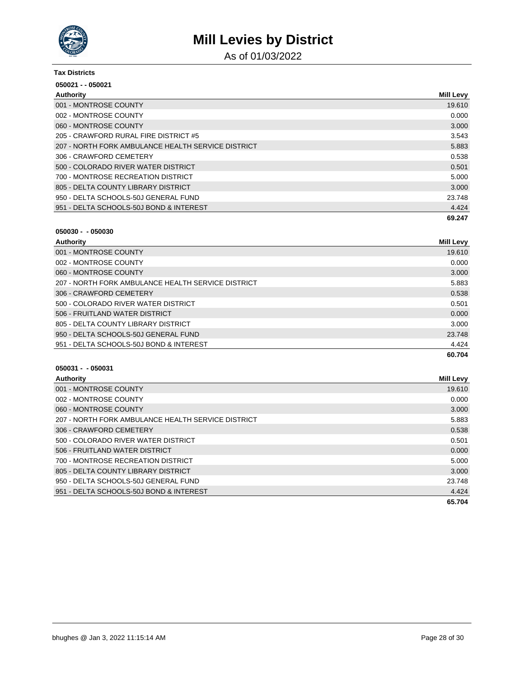

As of 01/03/2022

| <b>Tax Districts</b>                               |           |  |
|----------------------------------------------------|-----------|--|
| 050021 - - 050021                                  |           |  |
| Authority                                          | Mill Levy |  |
| 001 - MONTROSE COUNTY                              | 19.610    |  |
| 002 - MONTROSE COUNTY                              | 0.000     |  |
| 060 - MONTROSE COUNTY                              | 3.000     |  |
| 205 - CRAWFORD RURAL FIRE DISTRICT #5              | 3.543     |  |
| 207 - NORTH FORK AMBULANCE HEALTH SERVICE DISTRICT | 5.883     |  |
| 306 - CRAWFORD CEMETERY                            | 0.538     |  |
| 500 - COLORADO RIVER WATER DISTRICT                | 0.501     |  |
| 700 - MONTROSE RECREATION DISTRICT                 | 5.000     |  |
| 805 - DELTA COUNTY LIBRARY DISTRICT                | 3.000     |  |
| 950 - DELTA SCHOOLS-50J GENERAL FUND               | 23.748    |  |
| 951 - DELTA SCHOOLS-50J BOND & INTEREST            | 4.424     |  |
|                                                    | 69.247    |  |

| $050030 -$ |  | -050030 |
|------------|--|---------|
|            |  |         |

| Authority                                          | <b>Mill Levy</b> |
|----------------------------------------------------|------------------|
| 001 - MONTROSE COUNTY                              | 19.610           |
| 002 - MONTROSE COUNTY                              | 0.000            |
| 060 - MONTROSE COUNTY                              | 3.000            |
| 207 - NORTH FORK AMBULANCE HEALTH SERVICE DISTRICT | 5.883            |
| 306 - CRAWFORD CEMETERY                            | 0.538            |
| 500 - COLORADO RIVER WATER DISTRICT                | 0.501            |
| 506 - FRUITLAND WATER DISTRICT                     | 0.000            |
| 805 - DELTA COUNTY LIBRARY DISTRICT                | 3.000            |
| 950 - DELTA SCHOOLS-50J GENERAL FUND               | 23.748           |
| 951 - DELTA SCHOOLS-50J BOND & INTEREST            | 4.424            |
|                                                    | 60.704           |

| Authority                                          | <b>Mill Levy</b> |
|----------------------------------------------------|------------------|
| 001 - MONTROSE COUNTY                              | 19.610           |
| 002 - MONTROSE COUNTY                              | 0.000            |
| 060 - MONTROSE COUNTY                              | 3.000            |
| 207 - NORTH FORK AMBULANCE HEALTH SERVICE DISTRICT | 5.883            |
| 306 - CRAWFORD CEMETERY                            | 0.538            |
| 500 - COLORADO RIVER WATER DISTRICT                | 0.501            |
| 506 - FRUITLAND WATER DISTRICT                     | 0.000            |
| 700 - MONTROSE RECREATION DISTRICT                 | 5.000            |
| 805 - DELTA COUNTY LIBRARY DISTRICT                | 3.000            |
| 950 - DELTA SCHOOLS-50J GENERAL FUND               | 23.748           |
| 951 - DELTA SCHOOLS-50J BOND & INTEREST            | 4.424            |
|                                                    | 65.704           |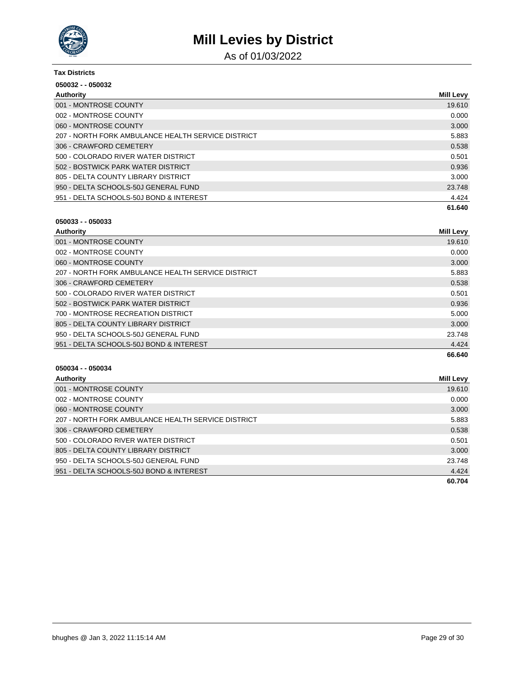

As of 01/03/2022

| <b>Tax Districts</b>                               |                  |  |
|----------------------------------------------------|------------------|--|
| 050032 - - 050032                                  |                  |  |
| Authority                                          | <b>Mill Levy</b> |  |
| 001 - MONTROSE COUNTY                              | 19.610           |  |
| 002 - MONTROSE COUNTY                              | 0.000            |  |
| 060 - MONTROSE COUNTY                              | 3.000            |  |
| 207 - NORTH FORK AMBULANCE HEALTH SERVICE DISTRICT | 5.883            |  |
| 306 - CRAWFORD CEMETERY                            | 0.538            |  |
| 500 - COLORADO RIVER WATER DISTRICT                | 0.501            |  |
| 502 - BOSTWICK PARK WATER DISTRICT                 | 0.936            |  |
| 805 - DELTA COUNTY LIBRARY DISTRICT                | 3.000            |  |
| 950 - DELTA SCHOOLS-50J GENERAL FUND               | 23.748           |  |
| 951 - DELTA SCHOOLS-50J BOND & INTEREST            | 4.424            |  |
|                                                    | 61.640           |  |

### **050033 - - 050033**

| Authority                                          | Mill Levy |
|----------------------------------------------------|-----------|
| 001 - MONTROSE COUNTY                              | 19.610    |
| 002 - MONTROSE COUNTY                              | 0.000     |
| 060 - MONTROSE COUNTY                              | 3.000     |
| 207 - NORTH FORK AMBULANCE HEALTH SERVICE DISTRICT | 5.883     |
| 306 - CRAWFORD CEMETERY                            | 0.538     |
| 500 - COLORADO RIVER WATER DISTRICT                | 0.501     |
| 502 - BOSTWICK PARK WATER DISTRICT                 | 0.936     |
| 700 - MONTROSE RECREATION DISTRICT                 | 5.000     |
| 805 - DELTA COUNTY LIBRARY DISTRICT                | 3.000     |
| 950 - DELTA SCHOOLS-50J GENERAL FUND               | 23.748    |
| 951 - DELTA SCHOOLS-50J BOND & INTEREST            | 4.424     |
|                                                    | 66.640    |

| Authority                                          | Mill Levy |
|----------------------------------------------------|-----------|
| 001 - MONTROSE COUNTY                              | 19.610    |
| 002 - MONTROSE COUNTY                              | 0.000     |
| 060 - MONTROSE COUNTY                              | 3.000     |
| 207 - NORTH FORK AMBULANCE HEALTH SERVICE DISTRICT | 5.883     |
| 306 - CRAWFORD CEMETERY                            | 0.538     |
| 500 - COLORADO RIVER WATER DISTRICT                | 0.501     |
| 805 - DELTA COUNTY LIBRARY DISTRICT                | 3.000     |
| 950 - DELTA SCHOOLS-50J GENERAL FUND               | 23.748    |
| 951 - DELTA SCHOOLS-50J BOND & INTEREST            | 4.424     |
|                                                    | 60.704    |